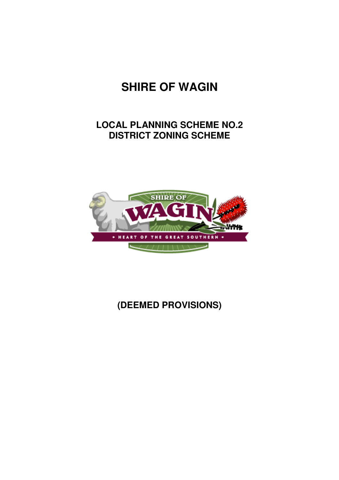# **SHIRE OF WAGIN**

## **LOCAL PLANNING SCHEME NO.2 DISTRICT ZONING SCHEME**



## **(DEEMED PROVISIONS)**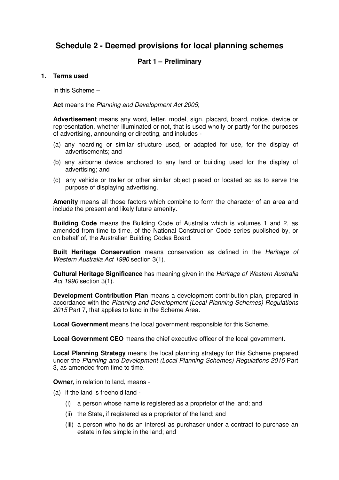## **Schedule 2 - Deemed provisions for local planning schemes**

## **Part 1 – Preliminary**

#### **1. Terms used**

In this Scheme –

**Act** means the Planning and Development Act 2005;

**Advertisement** means any word, letter, model, sign, placard, board, notice, device or representation, whether illuminated or not, that is used wholly or partly for the purposes of advertising, announcing or directing, and includes -

- (a) any hoarding or similar structure used, or adapted for use, for the display of advertisements; and
- (b) any airborne device anchored to any land or building used for the display of advertising; and
- (c) any vehicle or trailer or other similar object placed or located so as to serve the purpose of displaying advertising.

**Amenity** means all those factors which combine to form the character of an area and include the present and likely future amenity.

**Building Code** means the Building Code of Australia which is volumes 1 and 2, as amended from time to time, of the National Construction Code series published by, or on behalf of, the Australian Building Codes Board.

**Built Heritage Conservation** means conservation as defined in the Heritage of Western Australia Act 1990 section 3(1).

**Cultural Heritage Significance** has meaning given in the Heritage of Western Australia Act 1990 section 3(1).

**Development Contribution Plan** means a development contribution plan, prepared in accordance with the Planning and Development (Local Planning Schemes) Regulations 2015 Part 7, that applies to land in the Scheme Area.

**Local Government** means the local government responsible for this Scheme.

**Local Government CEO** means the chief executive officer of the local government.

**Local Planning Strategy** means the local planning strategy for this Scheme prepared under the Planning and Development (Local Planning Schemes) Regulations 2015 Part 3, as amended from time to time.

**Owner**, in relation to land, means -

- (a) if the land is freehold land
	- (i) a person whose name is registered as a proprietor of the land; and
	- (ii) the State, if registered as a proprietor of the land; and
	- (iii) a person who holds an interest as purchaser under a contract to purchase an estate in fee simple in the land; and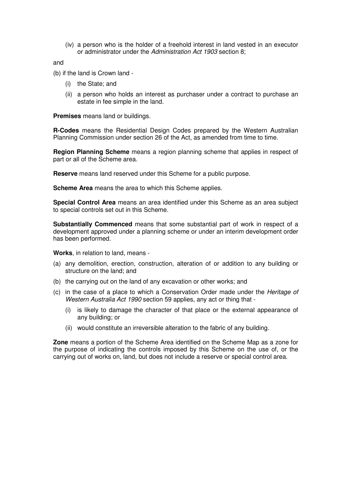(iv) a person who is the holder of a freehold interest in land vested in an executor or administrator under the Administration Act 1903 section 8;

and

(b) if the land is Crown land -

- (i) the State; and
- (ii) a person who holds an interest as purchaser under a contract to purchase an estate in fee simple in the land.

**Premises** means land or buildings.

**R-Codes** means the Residential Design Codes prepared by the Western Australian Planning Commission under section 26 of the Act, as amended from time to time.

**Region Planning Scheme** means a region planning scheme that applies in respect of part or all of the Scheme area.

**Reserve** means land reserved under this Scheme for a public purpose.

**Scheme Area** means the area to which this Scheme applies.

**Special Control Area** means an area identified under this Scheme as an area subject to special controls set out in this Scheme.

**Substantially Commenced** means that some substantial part of work in respect of a development approved under a planning scheme or under an interim development order has been performed.

**Works**, in relation to land, means -

- (a) any demolition, erection, construction, alteration of or addition to any building or structure on the land; and
- (b) the carrying out on the land of any excavation or other works; and
- (c) in the case of a place to which a Conservation Order made under the Heritage of Western Australia Act 1990 section 59 applies, any act or thing that -
	- (i) is likely to damage the character of that place or the external appearance of any building; or
	- (ii) would constitute an irreversible alteration to the fabric of any building.

**Zone** means a portion of the Scheme Area identified on the Scheme Map as a zone for the purpose of indicating the controls imposed by this Scheme on the use of, or the carrying out of works on, land, but does not include a reserve or special control area.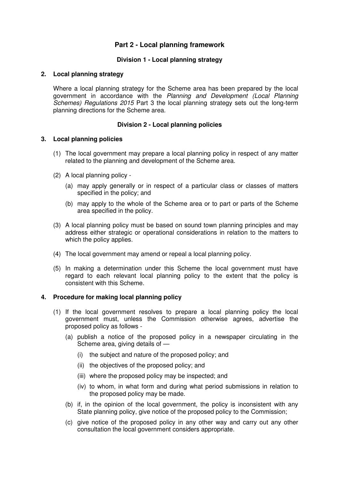## **Part 2 - Local planning framework**

#### **Division 1 - Local planning strategy**

#### **2. Local planning strategy**

Where a local planning strategy for the Scheme area has been prepared by the local government in accordance with the Planning and Development (Local Planning Schemes) Regulations 2015 Part 3 the local planning strategy sets out the long-term planning directions for the Scheme area.

#### **Division 2 - Local planning policies**

#### **3. Local planning policies**

- (1) The local government may prepare a local planning policy in respect of any matter related to the planning and development of the Scheme area.
- (2) A local planning policy
	- (a) may apply generally or in respect of a particular class or classes of matters specified in the policy; and
	- (b) may apply to the whole of the Scheme area or to part or parts of the Scheme area specified in the policy.
- (3) A local planning policy must be based on sound town planning principles and may address either strategic or operational considerations in relation to the matters to which the policy applies.
- (4) The local government may amend or repeal a local planning policy.
- (5) In making a determination under this Scheme the local government must have regard to each relevant local planning policy to the extent that the policy is consistent with this Scheme.

#### **4. Procedure for making local planning policy**

- (1) If the local government resolves to prepare a local planning policy the local government must, unless the Commission otherwise agrees, advertise the proposed policy as follows -
	- (a) publish a notice of the proposed policy in a newspaper circulating in the Scheme area, giving details of —
		- (i) the subject and nature of the proposed policy; and
		- (ii) the objectives of the proposed policy; and
		- (iii) where the proposed policy may be inspected; and
		- (iv) to whom, in what form and during what period submissions in relation to the proposed policy may be made.
	- (b) if, in the opinion of the local government, the policy is inconsistent with any State planning policy, give notice of the proposed policy to the Commission;
	- (c) give notice of the proposed policy in any other way and carry out any other consultation the local government considers appropriate.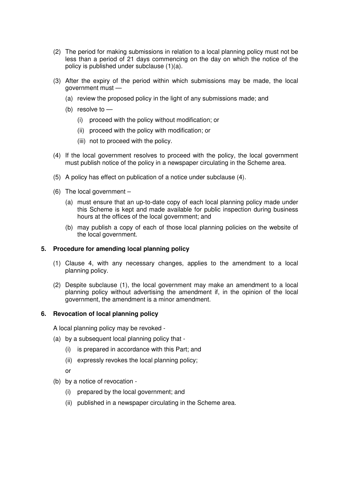- (2) The period for making submissions in relation to a local planning policy must not be less than a period of 21 days commencing on the day on which the notice of the policy is published under subclause (1)(a).
- (3) After the expiry of the period within which submissions may be made, the local government must —
	- (a) review the proposed policy in the light of any submissions made; and
	- (b) resolve to
		- (i) proceed with the policy without modification; or
		- (ii) proceed with the policy with modification; or
		- (iii) not to proceed with the policy.
- (4) If the local government resolves to proceed with the policy, the local government must publish notice of the policy in a newspaper circulating in the Scheme area.
- (5) A policy has effect on publication of a notice under subclause (4).
- (6) The local government
	- (a) must ensure that an up-to-date copy of each local planning policy made under this Scheme is kept and made available for public inspection during business hours at the offices of the local government; and
	- (b) may publish a copy of each of those local planning policies on the website of the local government.

#### **5. Procedure for amending local planning policy**

- (1) Clause 4, with any necessary changes, applies to the amendment to a local planning policy.
- (2) Despite subclause (1), the local government may make an amendment to a local planning policy without advertising the amendment if, in the opinion of the local government, the amendment is a minor amendment.

#### **6. Revocation of local planning policy**

A local planning policy may be revoked -

- (a) by a subsequent local planning policy that
	- (i) is prepared in accordance with this Part; and
	- (ii) expressly revokes the local planning policy;
	- or
- (b) by a notice of revocation
	- (i) prepared by the local government; and
	- (ii) published in a newspaper circulating in the Scheme area.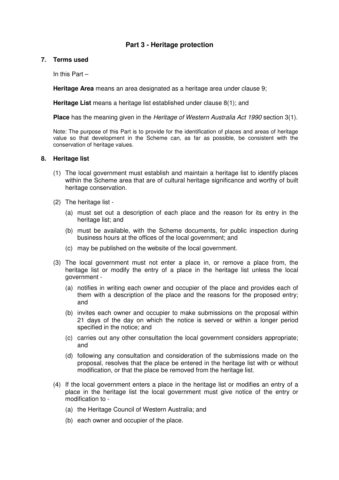## **Part 3 - Heritage protection**

#### **7. Terms used**

In this Part –

**Heritage Area** means an area designated as a heritage area under clause 9;

**Heritage List** means a heritage list established under clause 8(1); and

**Place** has the meaning given in the Heritage of Western Australia Act 1990 section 3(1).

Note: The purpose of this Part is to provide for the identification of places and areas of heritage value so that development in the Scheme can, as far as possible, be consistent with the conservation of heritage values.

#### **8. Heritage list**

- (1) The local government must establish and maintain a heritage list to identify places within the Scheme area that are of cultural heritage significance and worthy of built heritage conservation.
- (2) The heritage list
	- (a) must set out a description of each place and the reason for its entry in the heritage list; and
	- (b) must be available, with the Scheme documents, for public inspection during business hours at the offices of the local government; and
	- (c) may be published on the website of the local government.
- (3) The local government must not enter a place in, or remove a place from, the heritage list or modify the entry of a place in the heritage list unless the local government -
	- (a) notifies in writing each owner and occupier of the place and provides each of them with a description of the place and the reasons for the proposed entry; and
	- (b) invites each owner and occupier to make submissions on the proposal within 21 days of the day on which the notice is served or within a longer period specified in the notice; and
	- (c) carries out any other consultation the local government considers appropriate; and
	- (d) following any consultation and consideration of the submissions made on the proposal, resolves that the place be entered in the heritage list with or without modification, or that the place be removed from the heritage list.
- (4) If the local government enters a place in the heritage list or modifies an entry of a place in the heritage list the local government must give notice of the entry or modification to -
	- (a) the Heritage Council of Western Australia; and
	- (b) each owner and occupier of the place.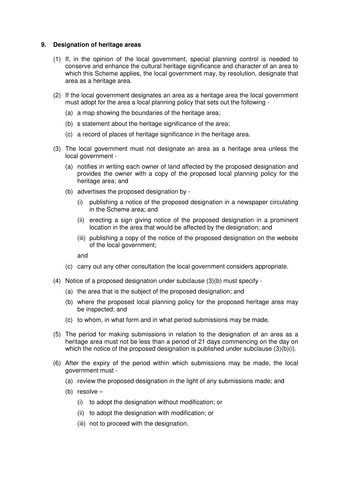#### **9. Designation of heritage areas**

- (1) If, in the opinion of the local government, special planning control is needed to conserve and enhance the cultural heritage significance and character of an area to which this Scheme applies, the local government may, by resolution, designate that area as a heritage area.
- (2) If the local government designates an area as a heritage area the local government must adopt for the area a local planning policy that sets out the following -
	- (a) a map showing the boundaries of the heritage area;
	- (b) s statement about the heritage significance of the area;
	- (c) a record of places of heritage significance in the heritage area.
- (3) The local government must not designate an area as a heritage area unless the local government -
	- (a) notifies in writing each owner of land affected by the proposed designation and provides the owner with a copy of the proposed local planning policy for the heritage area; and
	- (b) advertises the proposed designation by
		- (i) publishing a notice of the proposed designation in a newspaper circulating in the Scheme area; and
		- (ii) erecting a sign giving notice of the proposed designation in a prominent location in the area that would be affected by the designation; and
		- (iii) publishing a copy of the notice of the proposed designation on the website of the local government;

and

- (c) carry out any other consultation the local government considers appropriate.
- (4) Notice of a proposed designation under subclause (3)(b) must specify
	- (a) the area that is the subject of the proposed designation; and
	- (b) where the proposed local planning policy for the proposed heritage area may be inspected; and
	- (c) to whom, in what form and in what period submissions may be made.
- (5) The period for making submissions in relation to the designation of an area as a heritage area must not be less than a period of 21 days commencing on the day on which the notice of the proposed designation is published under subclause (3)(b)(i).
- (6) After the expiry of the period within which submissions may be made, the local government must -
	- (a) review the proposed designation in the light of any submissions made; and
	- (b) resolve
		- (i) to adopt the designation without modification; or
		- (ii) to adopt the designation with modification; or
		- (iii) not to proceed with the designation.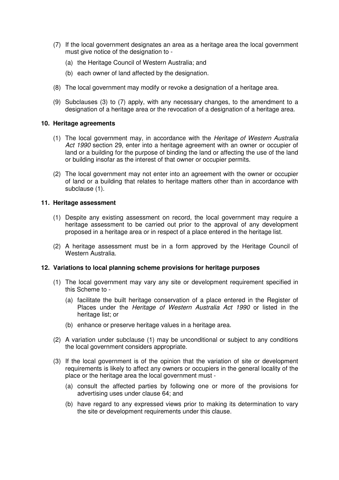- (7) If the local government designates an area as a heritage area the local government must give notice of the designation to -
	- (a) the Heritage Council of Western Australia; and
	- (b) each owner of land affected by the designation.
- (8) The local government may modify or revoke a designation of a heritage area.
- (9) Subclauses (3) to (7) apply, with any necessary changes, to the amendment to a designation of a heritage area or the revocation of a designation of a heritage area.

#### **10. Heritage agreements**

- (1) The local government may, in accordance with the Heritage of Western Australia Act 1990 section 29, enter into a heritage agreement with an owner or occupier of land or a building for the purpose of binding the land or affecting the use of the land or building insofar as the interest of that owner or occupier permits.
- (2) The local government may not enter into an agreement with the owner or occupier of land or a building that relates to heritage matters other than in accordance with subclause (1).

#### **11. Heritage assessment**

- (1) Despite any existing assessment on record, the local government may require a heritage assessment to be carried out prior to the approval of any development proposed in a heritage area or in respect of a place entered in the heritage list.
- (2) A heritage assessment must be in a form approved by the Heritage Council of Western Australia.

#### **12. Variations to local planning scheme provisions for heritage purposes**

- (1) The local government may vary any site or development requirement specified in this Scheme to -
	- (a) facilitate the built heritage conservation of a place entered in the Register of Places under the Heritage of Western Australia Act 1990 or listed in the heritage list; or
	- (b) enhance or preserve heritage values in a heritage area.
- (2) A variation under subclause (1) may be unconditional or subject to any conditions the local government considers appropriate.
- (3) If the local government is of the opinion that the variation of site or development requirements is likely to affect any owners or occupiers in the general locality of the place or the heritage area the local government must -
	- (a) consult the affected parties by following one or more of the provisions for advertising uses under clause 64; and
	- (b) have regard to any expressed views prior to making its determination to vary the site or development requirements under this clause.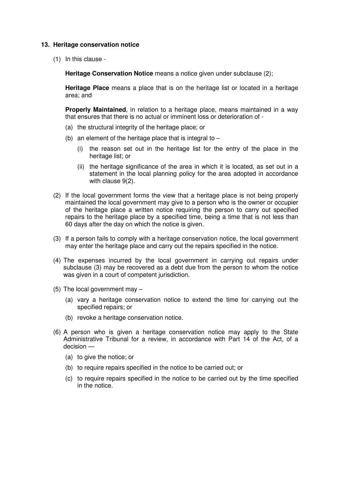#### **13. Heritage conservation notice**

(1) In this clause -

**Heritage Conservation Notice** means a notice given under subclause (2):

**Heritage Place** means a place that is on the heritage list or located in a heritage area; and

**Properly Maintained**, in relation to a heritage place, means maintained in a way that ensures that there is no actual or imminent loss or deterioration of -

- (a) the structural integrity of the heritage place; or
- (b) an element of the heritage place that is integral to  $-$ 
	- (i) the reason set out in the heritage list for the entry of the place in the heritage list; or
	- (ii) the heritage significance of the area in which it is located, as set out in a statement in the local planning policy for the area adopted in accordance with clause 9(2).
- (2) If the local government forms the view that a heritage place is not being properly maintained the local government may give to a person who is the owner or occupier of the heritage place a written notice requiring the person to carry out specified repairs to the heritage place by a specified time, being a time that is not less than 60 days after the day on which the notice is given.
- (3) If a person fails to comply with a heritage conservation notice, the local government may enter the heritage place and carry out the repairs specified in the notice.
- (4) The expenses incurred by the local government in carrying out repairs under subclause (3) may be recovered as a debt due from the person to whom the notice was given in a court of competent jurisdiction.
- (5) The local government may
	- (a) vary a heritage conservation notice to extend the time for carrying out the specified repairs; or
	- (b) revoke a heritage conservation notice.
- (6) A person who is given a heritage conservation notice may apply to the State Administrative Tribunal for a review, in accordance with Part 14 of the Act, of a decision —
	- (a) to give the notice; or
	- (b) to require repairs specified in the notice to be carried out; or
	- (c) to require repairs specified in the notice to be carried out by the time specified in the notice.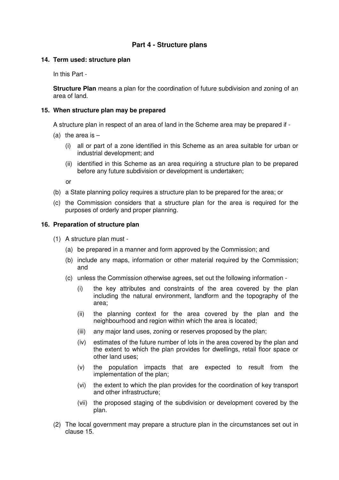## **Part 4 - Structure plans**

#### **14. Term used: structure plan**

In this Part -

**Structure Plan** means a plan for the coordination of future subdivision and zoning of an area of land.

#### **15. When structure plan may be prepared**

A structure plan in respect of an area of land in the Scheme area may be prepared if -

- (a) the area is  $-$ 
	- (i) all or part of a zone identified in this Scheme as an area suitable for urban or industrial development; and
	- (ii) identified in this Scheme as an area requiring a structure plan to be prepared before any future subdivision or development is undertaken;

or

- (b) a State planning policy requires a structure plan to be prepared for the area; or
- (c) the Commission considers that a structure plan for the area is required for the purposes of orderly and proper planning.

#### **16. Preparation of structure plan**

- (1) A structure plan must
	- (a) be prepared in a manner and form approved by the Commission; and
	- (b) include any maps, information or other material required by the Commission; and
	- (c) unless the Commission otherwise agrees, set out the following information
		- (i) the key attributes and constraints of the area covered by the plan including the natural environment, landform and the topography of the area;
		- (ii) the planning context for the area covered by the plan and the neighbourhood and region within which the area is located;
		- (iii) any major land uses, zoning or reserves proposed by the plan;
		- (iv) estimates of the future number of lots in the area covered by the plan and the extent to which the plan provides for dwellings, retail floor space or other land uses;
		- (v) the population impacts that are expected to result from the implementation of the plan;
		- (vi) the extent to which the plan provides for the coordination of key transport and other infrastructure;
		- (vii) the proposed staging of the subdivision or development covered by the plan.
- (2) The local government may prepare a structure plan in the circumstances set out in clause 15.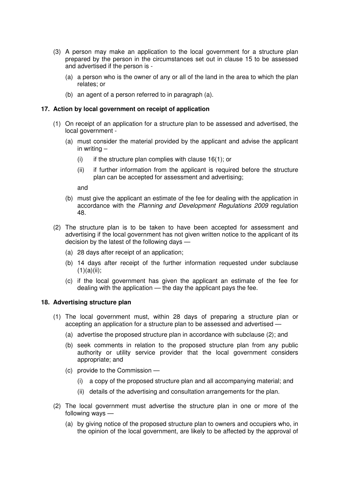- (3) A person may make an application to the local government for a structure plan prepared by the person in the circumstances set out in clause 15 to be assessed and advertised if the person is -
	- (a) a person who is the owner of any or all of the land in the area to which the plan relates; or
	- (b) an agent of a person referred to in paragraph (a).

#### **17. Action by local government on receipt of application**

- (1) On receipt of an application for a structure plan to be assessed and advertised, the local government -
	- (a) must consider the material provided by the applicant and advise the applicant in writing –
		- (i) if the structure plan complies with clause  $16(1)$ ; or
		- (ii) if further information from the applicant is required before the structure plan can be accepted for assessment and advertising;

and

- (b) must give the applicant an estimate of the fee for dealing with the application in accordance with the Planning and Development Regulations 2009 regulation 48.
- (2) The structure plan is to be taken to have been accepted for assessment and advertising if the local government has not given written notice to the applicant of its decision by the latest of the following days —
	- (a) 28 days after receipt of an application;
	- (b) 14 days after receipt of the further information requested under subclause  $(1)(a)(ii)$ ;
	- (c) if the local government has given the applicant an estimate of the fee for dealing with the application — the day the applicant pays the fee.

#### **18. Advertising structure plan**

- (1) The local government must, within 28 days of preparing a structure plan or accepting an application for a structure plan to be assessed and advertised —
	- (a) advertise the proposed structure plan in accordance with subclause (2); and
	- (b) seek comments in relation to the proposed structure plan from any public authority or utility service provider that the local government considers appropriate; and
	- (c) provide to the Commission
		- (i) a copy of the proposed structure plan and all accompanying material; and
		- (ii) details of the advertising and consultation arrangements for the plan.
- (2) The local government must advertise the structure plan in one or more of the following ways —
	- (a) by giving notice of the proposed structure plan to owners and occupiers who, in the opinion of the local government, are likely to be affected by the approval of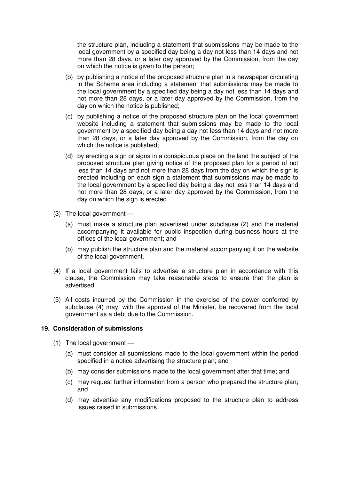the structure plan, including a statement that submissions may be made to the local government by a specified day being a day not less than 14 days and not more than 28 days, or a later day approved by the Commission, from the day on which the notice is given to the person;

- (b) by publishing a notice of the proposed structure plan in a newspaper circulating in the Scheme area including a statement that submissions may be made to the local government by a specified day being a day not less than 14 days and not more than 28 days, or a later day approved by the Commission, from the day on which the notice is published;
- (c) by publishing a notice of the proposed structure plan on the local government website including a statement that submissions may be made to the local government by a specified day being a day not less than 14 days and not more than 28 days, or a later day approved by the Commission, from the day on which the notice is published;
- (d) by erecting a sign or signs in a conspicuous place on the land the subject of the proposed structure plan giving notice of the proposed plan for a period of not less than 14 days and not more than 28 days from the day on which the sign is erected including on each sign a statement that submissions may be made to the local government by a specified day being a day not less than 14 days and not more than 28 days, or a later day approved by the Commission, from the day on which the sign is erected.
- (3) The local government
	- (a) must make a structure plan advertised under subclause (2) and the material accompanying it available for public inspection during business hours at the offices of the local government; and
	- (b) may publish the structure plan and the material accompanying it on the website of the local government.
- (4) If a local government fails to advertise a structure plan in accordance with this clause, the Commission may take reasonable steps to ensure that the plan is advertised.
- (5) All costs incurred by the Commission in the exercise of the power conferred by subclause (4) may, with the approval of the Minister, be recovered from the local government as a debt due to the Commission.

#### **19. Consideration of submissions**

- (1) The local government
	- (a) must consider all submissions made to the local government within the period specified in a notice advertising the structure plan; and
	- (b) may consider submissions made to the local government after that time; and
	- (c) may request further information from a person who prepared the structure plan; and
	- (d) may advertise any modifications proposed to the structure plan to address issues raised in submissions.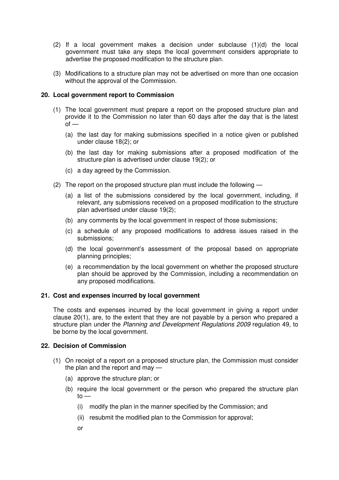- (2) If a local government makes a decision under subclause (1)(d) the local government must take any steps the local government considers appropriate to advertise the proposed modification to the structure plan.
- (3) Modifications to a structure plan may not be advertised on more than one occasion without the approval of the Commission.

#### **20. Local government report to Commission**

- (1) The local government must prepare a report on the proposed structure plan and provide it to the Commission no later than 60 days after the day that is the latest  $of -$ 
	- (a) the last day for making submissions specified in a notice given or published under clause 18(2); or
	- (b) the last day for making submissions after a proposed modification of the structure plan is advertised under clause 19(2); or
	- (c) a day agreed by the Commission.
- (2) The report on the proposed structure plan must include the following
	- (a) a list of the submissions considered by the local government, including, if relevant, any submissions received on a proposed modification to the structure plan advertised under clause 19(2);
	- (b) any comments by the local government in respect of those submissions;
	- (c) a schedule of any proposed modifications to address issues raised in the submissions;
	- (d) the local government's assessment of the proposal based on appropriate planning principles;
	- (e) a recommendation by the local government on whether the proposed structure plan should be approved by the Commission, including a recommendation on any proposed modifications.

#### **21. Cost and expenses incurred by local government**

The costs and expenses incurred by the local government in giving a report under clause 20(1), are, to the extent that they are not payable by a person who prepared a structure plan under the Planning and Development Regulations 2009 regulation 49, to be borne by the local government.

#### **22. Decision of Commission**

- (1) On receipt of a report on a proposed structure plan, the Commission must consider the plan and the report and may —
	- (a) approve the structure plan; or
	- (b) require the local government or the person who prepared the structure plan  $to -$ 
		- (i) modify the plan in the manner specified by the Commission; and
		- (ii) resubmit the modified plan to the Commission for approval;
		- or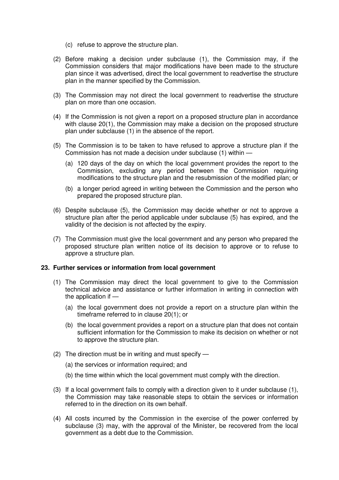- (c) refuse to approve the structure plan.
- (2) Before making a decision under subclause (1), the Commission may, if the Commission considers that major modifications have been made to the structure plan since it was advertised, direct the local government to readvertise the structure plan in the manner specified by the Commission.
- (3) The Commission may not direct the local government to readvertise the structure plan on more than one occasion.
- (4) If the Commission is not given a report on a proposed structure plan in accordance with clause 20(1), the Commission may make a decision on the proposed structure plan under subclause (1) in the absence of the report.
- (5) The Commission is to be taken to have refused to approve a structure plan if the Commission has not made a decision under subclause (1) within —
	- (a) 120 days of the day on which the local government provides the report to the Commission, excluding any period between the Commission requiring modifications to the structure plan and the resubmission of the modified plan; or
	- (b) a longer period agreed in writing between the Commission and the person who prepared the proposed structure plan.
- (6) Despite subclause (5), the Commission may decide whether or not to approve a structure plan after the period applicable under subclause (5) has expired, and the validity of the decision is not affected by the expiry.
- (7) The Commission must give the local government and any person who prepared the proposed structure plan written notice of its decision to approve or to refuse to approve a structure plan.

#### **23. Further services or information from local government**

- (1) The Commission may direct the local government to give to the Commission technical advice and assistance or further information in writing in connection with the application if —
	- (a) the local government does not provide a report on a structure plan within the timeframe referred to in clause 20(1); or
	- (b) the local government provides a report on a structure plan that does not contain sufficient information for the Commission to make its decision on whether or not to approve the structure plan.
- (2) The direction must be in writing and must specify
	- (a) the services or information required; and
	- (b) the time within which the local government must comply with the direction.
- (3) If a local government fails to comply with a direction given to it under subclause (1), the Commission may take reasonable steps to obtain the services or information referred to in the direction on its own behalf.
- (4) All costs incurred by the Commission in the exercise of the power conferred by subclause (3) may, with the approval of the Minister, be recovered from the local government as a debt due to the Commission.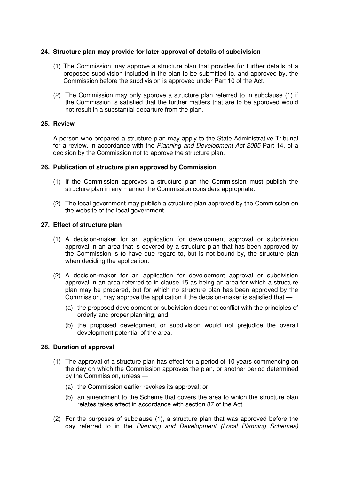#### **24. Structure plan may provide for later approval of details of subdivision**

- (1) The Commission may approve a structure plan that provides for further details of a proposed subdivision included in the plan to be submitted to, and approved by, the Commission before the subdivision is approved under Part 10 of the Act.
- (2) The Commission may only approve a structure plan referred to in subclause (1) if the Commission is satisfied that the further matters that are to be approved would not result in a substantial departure from the plan.

#### **25. Review**

A person who prepared a structure plan may apply to the State Administrative Tribunal for a review, in accordance with the Planning and Development Act 2005 Part 14, of a decision by the Commission not to approve the structure plan.

#### **26. Publication of structure plan approved by Commission**

- (1) If the Commission approves a structure plan the Commission must publish the structure plan in any manner the Commission considers appropriate.
- (2) The local government may publish a structure plan approved by the Commission on the website of the local government.

#### **27. Effect of structure plan**

- (1) A decision-maker for an application for development approval or subdivision approval in an area that is covered by a structure plan that has been approved by the Commission is to have due regard to, but is not bound by, the structure plan when deciding the application.
- (2) A decision-maker for an application for development approval or subdivision approval in an area referred to in clause 15 as being an area for which a structure plan may be prepared, but for which no structure plan has been approved by the Commission, may approve the application if the decision-maker is satisfied that —
	- (a) the proposed development or subdivision does not conflict with the principles of orderly and proper planning; and
	- (b) the proposed development or subdivision would not prejudice the overall development potential of the area.

#### **28. Duration of approval**

- (1) The approval of a structure plan has effect for a period of 10 years commencing on the day on which the Commission approves the plan, or another period determined by the Commission, unless —
	- (a) the Commission earlier revokes its approval; or
	- (b) an amendment to the Scheme that covers the area to which the structure plan relates takes effect in accordance with section 87 of the Act.
- (2) For the purposes of subclause (1), a structure plan that was approved before the day referred to in the Planning and Development (Local Planning Schemes)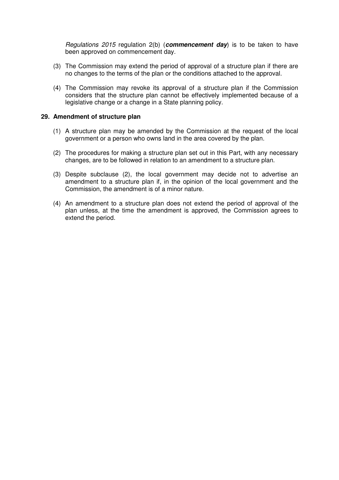Regulations 2015 regulation 2(b) (**commencement day**) is to be taken to have been approved on commencement day.

- (3) The Commission may extend the period of approval of a structure plan if there are no changes to the terms of the plan or the conditions attached to the approval.
- (4) The Commission may revoke its approval of a structure plan if the Commission considers that the structure plan cannot be effectively implemented because of a legislative change or a change in a State planning policy.

#### **29. Amendment of structure plan**

- (1) A structure plan may be amended by the Commission at the request of the local government or a person who owns land in the area covered by the plan.
- (2) The procedures for making a structure plan set out in this Part, with any necessary changes, are to be followed in relation to an amendment to a structure plan.
- (3) Despite subclause (2), the local government may decide not to advertise an amendment to a structure plan if, in the opinion of the local government and the Commission, the amendment is of a minor nature.
- (4) An amendment to a structure plan does not extend the period of approval of the plan unless, at the time the amendment is approved, the Commission agrees to extend the period.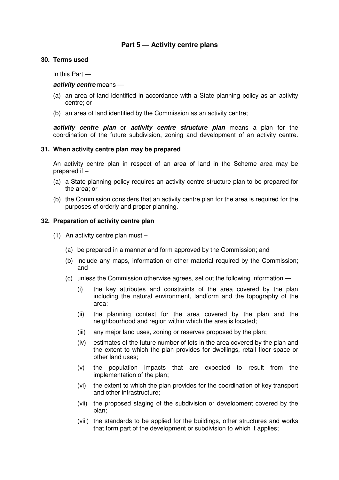## **Part 5 — Activity centre plans**

#### **30. Terms used**

In this Part —

#### **activity centre** means —

- (a) an area of land identified in accordance with a State planning policy as an activity centre; or
- (b) an area of land identified by the Commission as an activity centre;

**activity centre plan** or **activity centre structure plan** means a plan for the coordination of the future subdivision, zoning and development of an activity centre.

#### **31. When activity centre plan may be prepared**

An activity centre plan in respect of an area of land in the Scheme area may be prepared if –

- (a) a State planning policy requires an activity centre structure plan to be prepared for the area; or
- (b) the Commission considers that an activity centre plan for the area is required for the purposes of orderly and proper planning.

#### **32. Preparation of activity centre plan**

- (1) An activity centre plan must
	- (a) be prepared in a manner and form approved by the Commission; and
	- (b) include any maps, information or other material required by the Commission; and
	- (c) unless the Commission otherwise agrees, set out the following information
		- (i) the key attributes and constraints of the area covered by the plan including the natural environment, landform and the topography of the area;
		- (ii) the planning context for the area covered by the plan and the neighbourhood and region within which the area is located;
		- (iii) any major land uses, zoning or reserves proposed by the plan;
		- (iv) estimates of the future number of lots in the area covered by the plan and the extent to which the plan provides for dwellings, retail floor space or other land uses;
		- (v) the population impacts that are expected to result from the implementation of the plan;
		- (vi) the extent to which the plan provides for the coordination of key transport and other infrastructure;
		- (vii) the proposed staging of the subdivision or development covered by the plan;
		- (viii) the standards to be applied for the buildings, other structures and works that form part of the development or subdivision to which it applies;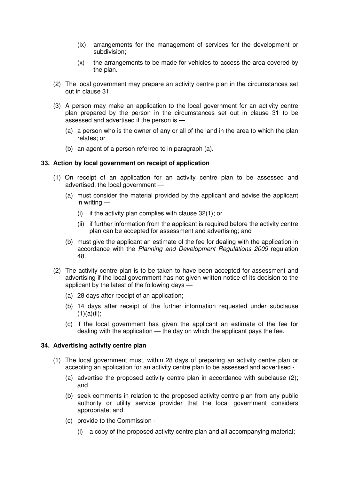- (ix) arrangements for the management of services for the development or subdivision;
- (x) the arrangements to be made for vehicles to access the area covered by the plan.
- (2) The local government may prepare an activity centre plan in the circumstances set out in clause 31.
- (3) A person may make an application to the local government for an activity centre plan prepared by the person in the circumstances set out in clause 31 to be assessed and advertised if the person is —
	- (a) a person who is the owner of any or all of the land in the area to which the plan relates; or
	- (b) an agent of a person referred to in paragraph (a).

#### **33. Action by local government on receipt of application**

- (1) On receipt of an application for an activity centre plan to be assessed and advertised, the local government —
	- (a) must consider the material provided by the applicant and advise the applicant in writing —
		- (i) if the activity plan complies with clause 32(1); or
		- (ii) if further information from the applicant is required before the activity centre plan can be accepted for assessment and advertising; and
	- (b) must give the applicant an estimate of the fee for dealing with the application in accordance with the Planning and Development Regulations 2009 regulation 48.
- (2) The activity centre plan is to be taken to have been accepted for assessment and advertising if the local government has not given written notice of its decision to the applicant by the latest of the following days —
	- (a) 28 days after receipt of an application;
	- (b) 14 days after receipt of the further information requested under subclause  $(1)(a)(ii)$ ;
	- (c) if the local government has given the applicant an estimate of the fee for dealing with the application — the day on which the applicant pays the fee.

#### **34. Advertising activity centre plan**

- (1) The local government must, within 28 days of preparing an activity centre plan or accepting an application for an activity centre plan to be assessed and advertised -
	- (a) advertise the proposed activity centre plan in accordance with subclause (2); and
	- (b) seek comments in relation to the proposed activity centre plan from any public authority or utility service provider that the local government considers appropriate; and
	- (c) provide to the Commission
		- (i) a copy of the proposed activity centre plan and all accompanying material;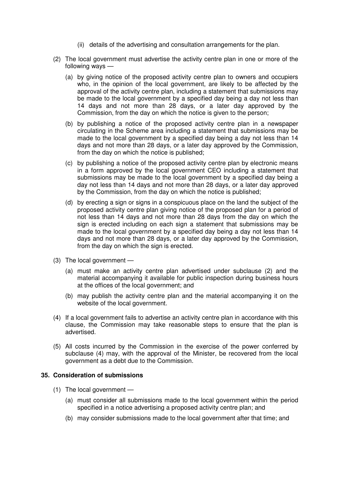- (ii) details of the advertising and consultation arrangements for the plan.
- (2) The local government must advertise the activity centre plan in one or more of the following ways —
	- (a) by giving notice of the proposed activity centre plan to owners and occupiers who, in the opinion of the local government, are likely to be affected by the approval of the activity centre plan, including a statement that submissions may be made to the local government by a specified day being a day not less than 14 days and not more than 28 days, or a later day approved by the Commission, from the day on which the notice is given to the person;
	- (b) by publishing a notice of the proposed activity centre plan in a newspaper circulating in the Scheme area including a statement that submissions may be made to the local government by a specified day being a day not less than 14 days and not more than 28 days, or a later day approved by the Commission, from the day on which the notice is published;
	- (c) by publishing a notice of the proposed activity centre plan by electronic means in a form approved by the local government CEO including a statement that submissions may be made to the local government by a specified day being a day not less than 14 days and not more than 28 days, or a later day approved by the Commission, from the day on which the notice is published;
	- (d) by erecting a sign or signs in a conspicuous place on the land the subject of the proposed activity centre plan giving notice of the proposed plan for a period of not less than 14 days and not more than 28 days from the day on which the sign is erected including on each sign a statement that submissions may be made to the local government by a specified day being a day not less than 14 days and not more than 28 days, or a later day approved by the Commission, from the day on which the sign is erected.
- (3) The local government
	- (a) must make an activity centre plan advertised under subclause (2) and the material accompanying it available for public inspection during business hours at the offices of the local government; and
	- (b) may publish the activity centre plan and the material accompanying it on the website of the local government.
- (4) If a local government fails to advertise an activity centre plan in accordance with this clause, the Commission may take reasonable steps to ensure that the plan is advertised.
- (5) All costs incurred by the Commission in the exercise of the power conferred by subclause (4) may, with the approval of the Minister, be recovered from the local government as a debt due to the Commission.

#### **35. Consideration of submissions**

- (1) The local government
	- (a) must consider all submissions made to the local government within the period specified in a notice advertising a proposed activity centre plan; and
	- (b) may consider submissions made to the local government after that time; and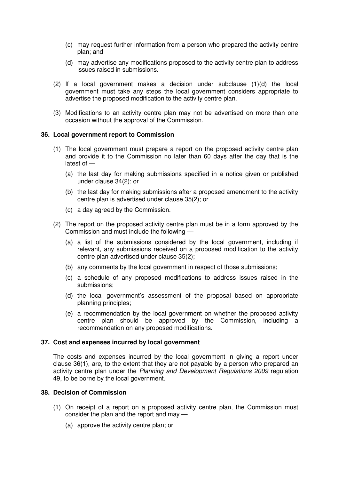- (c) may request further information from a person who prepared the activity centre plan; and
- (d) may advertise any modifications proposed to the activity centre plan to address issues raised in submissions.
- (2) If a local government makes a decision under subclause (1)(d) the local government must take any steps the local government considers appropriate to advertise the proposed modification to the activity centre plan.
- (3) Modifications to an activity centre plan may not be advertised on more than one occasion without the approval of the Commission.

#### **36. Local government report to Commission**

- (1) The local government must prepare a report on the proposed activity centre plan and provide it to the Commission no later than 60 days after the day that is the latest of —
	- (a) the last day for making submissions specified in a notice given or published under clause 34(2); or
	- (b) the last day for making submissions after a proposed amendment to the activity centre plan is advertised under clause 35(2); or
	- (c) a day agreed by the Commission.
- (2) The report on the proposed activity centre plan must be in a form approved by the Commission and must include the following —
	- (a) a list of the submissions considered by the local government, including if relevant, any submissions received on a proposed modification to the activity centre plan advertised under clause 35(2);
	- (b) any comments by the local government in respect of those submissions;
	- (c) a schedule of any proposed modifications to address issues raised in the submissions;
	- (d) the local government's assessment of the proposal based on appropriate planning principles;
	- (e) a recommendation by the local government on whether the proposed activity centre plan should be approved by the Commission, including a recommendation on any proposed modifications.

#### **37. Cost and expenses incurred by local government**

The costs and expenses incurred by the local government in giving a report under clause 36(1), are, to the extent that they are not payable by a person who prepared an activity centre plan under the Planning and Development Regulations 2009 regulation 49, to be borne by the local government.

#### **38. Decision of Commission**

- (1) On receipt of a report on a proposed activity centre plan, the Commission must consider the plan and the report and may —
	- (a) approve the activity centre plan; or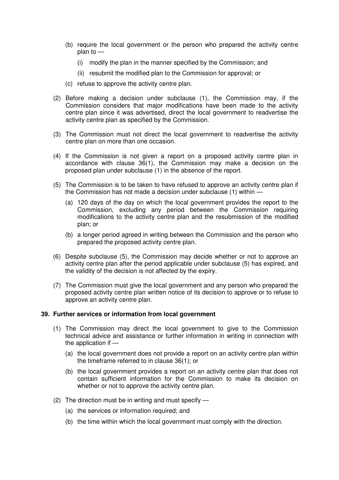- (b) require the local government or the person who prepared the activity centre plan to —
	- (i) modify the plan in the manner specified by the Commission; and
	- (ii) resubmit the modified plan to the Commission for approval; or
- (c) refuse to approve the activity centre plan.
- (2) Before making a decision under subclause (1), the Commission may, if the Commission considers that major modifications have been made to the activity centre plan since it was advertised, direct the local government to readvertise the activity centre plan as specified by the Commission.
- (3) The Commission must not direct the local government to readvertise the activity centre plan on more than one occasion.
- (4) If the Commission is not given a report on a proposed activity centre plan in accordance with clause 36(1), the Commission may make a decision on the proposed plan under subclause (1) in the absence of the report.
- (5) The Commission is to be taken to have refused to approve an activity centre plan if the Commission has not made a decision under subclause (1) within —
	- (a) 120 days of the day on which the local government provides the report to the Commission, excluding any period between the Commission requiring modifications to the activity centre plan and the resubmission of the modified plan; or
	- (b) a longer period agreed in writing between the Commission and the person who prepared the proposed activity centre plan.
- (6) Despite subclause (5), the Commission may decide whether or not to approve an activity centre plan after the period applicable under subclause (5) has expired, and the validity of the decision is not affected by the expiry.
- (7) The Commission must give the local government and any person who prepared the proposed activity centre plan written notice of its decision to approve or to refuse to approve an activity centre plan.

## **39. Further services or information from local government**

- (1) The Commission may direct the local government to give to the Commission technical advice and assistance or further information in writing in connection with the application if —
	- (a) the local government does not provide a report on an activity centre plan within the timeframe referred to in clause 36(1); or
	- (b) the local government provides a report on an activity centre plan that does not contain sufficient information for the Commission to make its decision on whether or not to approve the activity centre plan.
- (2) The direction must be in writing and must specify
	- (a) the services or information required; and
	- (b) the time within which the local government must comply with the direction.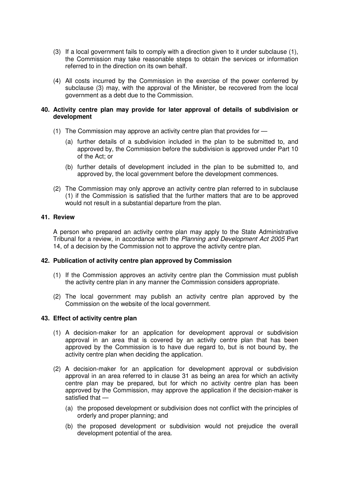- (3) If a local government fails to comply with a direction given to it under subclause (1), the Commission may take reasonable steps to obtain the services or information referred to in the direction on its own behalf.
- (4) All costs incurred by the Commission in the exercise of the power conferred by subclause (3) may, with the approval of the Minister, be recovered from the local government as a debt due to the Commission.

#### **40. Activity centre plan may provide for later approval of details of subdivision or development**

- (1) The Commission may approve an activity centre plan that provides for
	- (a) further details of a subdivision included in the plan to be submitted to, and approved by, the Commission before the subdivision is approved under Part 10 of the Act; or
	- (b) further details of development included in the plan to be submitted to, and approved by, the local government before the development commences.
- (2) The Commission may only approve an activity centre plan referred to in subclause (1) if the Commission is satisfied that the further matters that are to be approved would not result in a substantial departure from the plan.

#### **41. Review**

A person who prepared an activity centre plan may apply to the State Administrative Tribunal for a review, in accordance with the Planning and Development Act 2005 Part 14, of a decision by the Commission not to approve the activity centre plan.

#### **42. Publication of activity centre plan approved by Commission**

- (1) If the Commission approves an activity centre plan the Commission must publish the activity centre plan in any manner the Commission considers appropriate.
- (2) The local government may publish an activity centre plan approved by the Commission on the website of the local government.

#### **43. Effect of activity centre plan**

- (1) A decision-maker for an application for development approval or subdivision approval in an area that is covered by an activity centre plan that has been approved by the Commission is to have due regard to, but is not bound by, the activity centre plan when deciding the application.
- (2) A decision-maker for an application for development approval or subdivision approval in an area referred to in clause 31 as being an area for which an activity centre plan may be prepared, but for which no activity centre plan has been approved by the Commission, may approve the application if the decision-maker is satisfied that —
	- (a) the proposed development or subdivision does not conflict with the principles of orderly and proper planning; and
	- (b) the proposed development or subdivision would not prejudice the overall development potential of the area.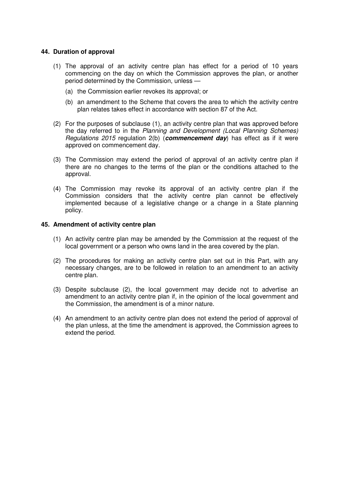#### **44. Duration of approval**

- (1) The approval of an activity centre plan has effect for a period of 10 years commencing on the day on which the Commission approves the plan, or another period determined by the Commission, unless —
	- (a) the Commission earlier revokes its approval; or
	- (b) an amendment to the Scheme that covers the area to which the activity centre plan relates takes effect in accordance with section 87 of the Act.
- (2) For the purposes of subclause (1), an activity centre plan that was approved before the day referred to in the Planning and Development (Local Planning Schemes) Regulations 2015 regulation 2(b) (**commencement day**) has effect as if it were approved on commencement day.
- (3) The Commission may extend the period of approval of an activity centre plan if there are no changes to the terms of the plan or the conditions attached to the approval.
- (4) The Commission may revoke its approval of an activity centre plan if the Commission considers that the activity centre plan cannot be effectively implemented because of a legislative change or a change in a State planning policy.

#### **45. Amendment of activity centre plan**

- (1) An activity centre plan may be amended by the Commission at the request of the local government or a person who owns land in the area covered by the plan.
- (2) The procedures for making an activity centre plan set out in this Part, with any necessary changes, are to be followed in relation to an amendment to an activity centre plan.
- (3) Despite subclause (2), the local government may decide not to advertise an amendment to an activity centre plan if, in the opinion of the local government and the Commission, the amendment is of a minor nature.
- (4) An amendment to an activity centre plan does not extend the period of approval of the plan unless, at the time the amendment is approved, the Commission agrees to extend the period.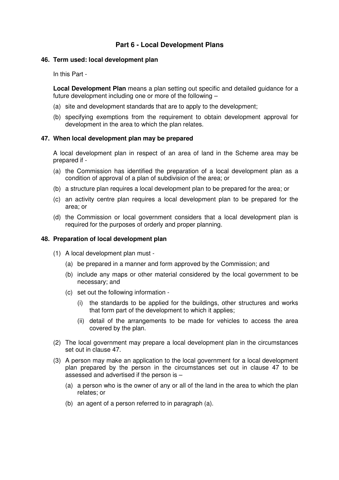## **Part 6 - Local Development Plans**

#### **46. Term used: local development plan**

In this Part -

**Local Development Plan** means a plan setting out specific and detailed guidance for a future development including one or more of the following –

- (a) site and development standards that are to apply to the development;
- (b) specifying exemptions from the requirement to obtain development approval for development in the area to which the plan relates.

#### **47. When local development plan may be prepared**

A local development plan in respect of an area of land in the Scheme area may be prepared if -

- (a) the Commission has identified the preparation of a local development plan as a condition of approval of a plan of subdivision of the area; or
- (b) a structure plan requires a local development plan to be prepared for the area; or
- (c) an activity centre plan requires a local development plan to be prepared for the area; or
- (d) the Commission or local government considers that a local development plan is required for the purposes of orderly and proper planning.

#### **48. Preparation of local development plan**

- (1) A local development plan must
	- (a) be prepared in a manner and form approved by the Commission; and
	- (b) include any maps or other material considered by the local government to be necessary; and
	- (c) set out the following information
		- (i) the standards to be applied for the buildings, other structures and works that form part of the development to which it applies;
		- (ii) detail of the arrangements to be made for vehicles to access the area covered by the plan.
- (2) The local government may prepare a local development plan in the circumstances set out in clause 47.
- (3) A person may make an application to the local government for a local development plan prepared by the person in the circumstances set out in clause 47 to be assessed and advertised if the person is –
	- (a) a person who is the owner of any or all of the land in the area to which the plan relates; or
	- (b) an agent of a person referred to in paragraph (a).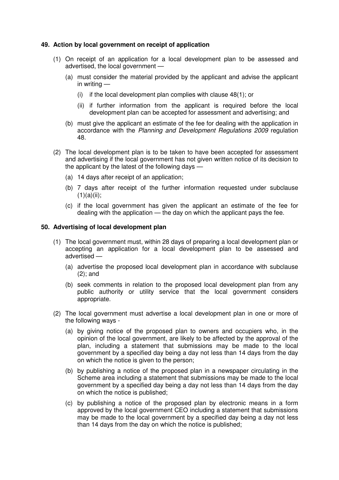#### **49. Action by local government on receipt of application**

- (1) On receipt of an application for a local development plan to be assessed and advertised, the local government —
	- (a) must consider the material provided by the applicant and advise the applicant in writing —
		- (i) if the local development plan complies with clause 48(1); or
		- (ii) if further information from the applicant is required before the local development plan can be accepted for assessment and advertising; and
	- (b) must give the applicant an estimate of the fee for dealing with the application in accordance with the Planning and Development Regulations 2009 regulation 48.
- (2) The local development plan is to be taken to have been accepted for assessment and advertising if the local government has not given written notice of its decision to the applicant by the latest of the following days —
	- (a) 14 days after receipt of an application;
	- (b) 7 days after receipt of the further information requested under subclause  $(1)(a)(ii);$
	- (c) if the local government has given the applicant an estimate of the fee for dealing with the application — the day on which the applicant pays the fee.

#### **50. Advertising of local development plan**

- (1) The local government must, within 28 days of preparing a local development plan or accepting an application for a local development plan to be assessed and advertised —
	- (a) advertise the proposed local development plan in accordance with subclause (2); and
	- (b) seek comments in relation to the proposed local development plan from any public authority or utility service that the local government considers appropriate.
- (2) The local government must advertise a local development plan in one or more of the following ways -
	- (a) by giving notice of the proposed plan to owners and occupiers who, in the opinion of the local government, are likely to be affected by the approval of the plan, including a statement that submissions may be made to the local government by a specified day being a day not less than 14 days from the day on which the notice is given to the person;
	- (b) by publishing a notice of the proposed plan in a newspaper circulating in the Scheme area including a statement that submissions may be made to the local government by a specified day being a day not less than 14 days from the day on which the notice is published;
	- (c) by publishing a notice of the proposed plan by electronic means in a form approved by the local government CEO including a statement that submissions may be made to the local government by a specified day being a day not less than 14 days from the day on which the notice is published;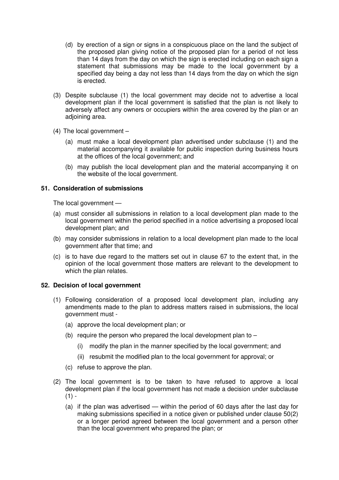- (d) by erection of a sign or signs in a conspicuous place on the land the subject of the proposed plan giving notice of the proposed plan for a period of not less than 14 days from the day on which the sign is erected including on each sign a statement that submissions may be made to the local government by a specified day being a day not less than 14 days from the day on which the sign is erected.
- (3) Despite subclause (1) the local government may decide not to advertise a local development plan if the local government is satisfied that the plan is not likely to adversely affect any owners or occupiers within the area covered by the plan or an adjoining area.
- (4) The local government
	- (a) must make a local development plan advertised under subclause (1) and the material accompanying it available for public inspection during business hours at the offices of the local government; and
	- (b) may publish the local development plan and the material accompanying it on the website of the local government.

#### **51. Consideration of submissions**

The local government —

- (a) must consider all submissions in relation to a local development plan made to the local government within the period specified in a notice advertising a proposed local development plan; and
- (b) may consider submissions in relation to a local development plan made to the local government after that time; and
- (c) is to have due regard to the matters set out in clause 67 to the extent that, in the opinion of the local government those matters are relevant to the development to which the plan relates.

#### **52. Decision of local government**

- (1) Following consideration of a proposed local development plan, including any amendments made to the plan to address matters raised in submissions, the local government must -
	- (a) approve the local development plan; or
	- (b) require the person who prepared the local development plan to  $-$ 
		- (i) modify the plan in the manner specified by the local government; and
		- (ii) resubmit the modified plan to the local government for approval; or
	- (c) refuse to approve the plan.
- (2) The local government is to be taken to have refused to approve a local development plan if the local government has not made a decision under subclause  $(1) -$ 
	- (a) if the plan was advertised within the period of 60 days after the last day for making submissions specified in a notice given or published under clause 50(2) or a longer period agreed between the local government and a person other than the local government who prepared the plan; or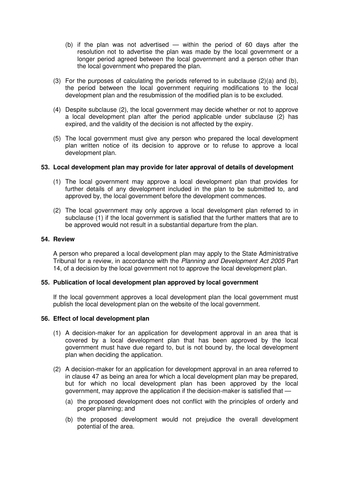- (b) if the plan was not advertised within the period of 60 days after the resolution not to advertise the plan was made by the local government or a longer period agreed between the local government and a person other than the local government who prepared the plan.
- (3) For the purposes of calculating the periods referred to in subclause (2)(a) and (b), the period between the local government requiring modifications to the local development plan and the resubmission of the modified plan is to be excluded.
- (4) Despite subclause (2), the local government may decide whether or not to approve a local development plan after the period applicable under subclause (2) has expired, and the validity of the decision is not affected by the expiry.
- (5) The local government must give any person who prepared the local development plan written notice of its decision to approve or to refuse to approve a local development plan.

#### **53. Local development plan may provide for later approval of details of development**

- (1) The local government may approve a local development plan that provides for further details of any development included in the plan to be submitted to, and approved by, the local government before the development commences.
- (2) The local government may only approve a local development plan referred to in subclause (1) if the local government is satisfied that the further matters that are to be approved would not result in a substantial departure from the plan.

#### **54. Review**

A person who prepared a local development plan may apply to the State Administrative Tribunal for a review, in accordance with the Planning and Development Act 2005 Part 14, of a decision by the local government not to approve the local development plan.

#### **55. Publication of local development plan approved by local government**

If the local government approves a local development plan the local government must publish the local development plan on the website of the local government.

#### **56. Effect of local development plan**

- (1) A decision-maker for an application for development approval in an area that is covered by a local development plan that has been approved by the local government must have due regard to, but is not bound by, the local development plan when deciding the application.
- (2) A decision-maker for an application for development approval in an area referred to in clause 47 as being an area for which a local development plan may be prepared, but for which no local development plan has been approved by the local government, may approve the application if the decision-maker is satisfied that —
	- (a) the proposed development does not conflict with the principles of orderly and proper planning; and
	- (b) the proposed development would not prejudice the overall development potential of the area.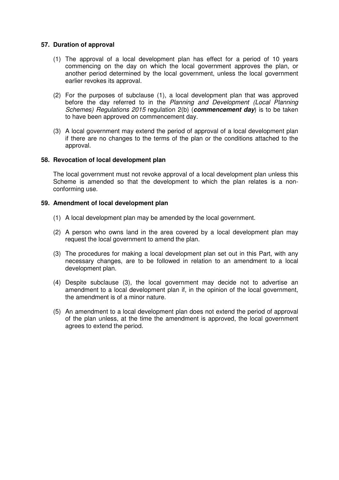#### **57. Duration of approval**

- (1) The approval of a local development plan has effect for a period of 10 years commencing on the day on which the local government approves the plan, or another period determined by the local government, unless the local government earlier revokes its approval.
- (2) For the purposes of subclause (1), a local development plan that was approved before the day referred to in the Planning and Development (Local Planning Schemes) Regulations 2015 regulation 2(b) (**commencement day**) is to be taken to have been approved on commencement day.
- (3) A local government may extend the period of approval of a local development plan if there are no changes to the terms of the plan or the conditions attached to the approval.

#### **58. Revocation of local development plan**

The local government must not revoke approval of a local development plan unless this Scheme is amended so that the development to which the plan relates is a nonconforming use.

#### **59. Amendment of local development plan**

- (1) A local development plan may be amended by the local government.
- (2) A person who owns land in the area covered by a local development plan may request the local government to amend the plan.
- (3) The procedures for making a local development plan set out in this Part, with any necessary changes, are to be followed in relation to an amendment to a local development plan.
- (4) Despite subclause (3), the local government may decide not to advertise an amendment to a local development plan if, in the opinion of the local government, the amendment is of a minor nature.
- (5) An amendment to a local development plan does not extend the period of approval of the plan unless, at the time the amendment is approved, the local government agrees to extend the period.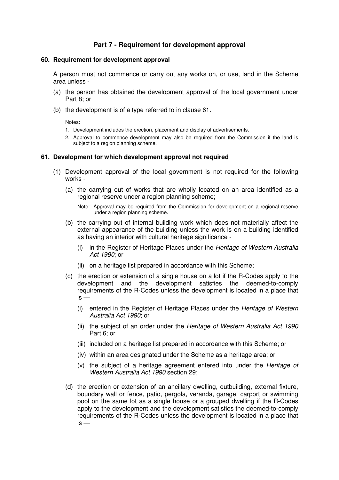## **Part 7 - Requirement for development approval**

#### **60. Requirement for development approval**

A person must not commence or carry out any works on, or use, land in the Scheme area unless -

- (a) the person has obtained the development approval of the local government under Part 8; or
- (b) the development is of a type referred to in clause 61.

Notes:

- 1. Development includes the erection, placement and display of advertisements.
- 2. Approval to commence development may also be required from the Commission if the land is subject to a region planning scheme.

#### **61. Development for which development approval not required**

- (1) Development approval of the local government is not required for the following works -
	- (a) the carrying out of works that are wholly located on an area identified as a regional reserve under a region planning scheme;

Note: Approval may be required from the Commission for development on a regional reserve under a region planning scheme.

- (b) the carrying out of internal building work which does not materially affect the external appearance of the building unless the work is on a building identified as having an interior with cultural heritage significance -
	- (i) in the Register of Heritage Places under the Heritage of Western Australia Act 1990; or
	- (ii) on a heritage list prepared in accordance with this Scheme;
- (c) the erection or extension of a single house on a lot if the R-Codes apply to the development and the development satisfies the deemed-to-comply requirements of the R-Codes unless the development is located in a place that  $is -$ 
	- (i) entered in the Register of Heritage Places under the Heritage of Western Australia Act 1990; or
	- (ii) the subject of an order under the Heritage of Western Australia Act 1990 Part 6; or
	- (iii) included on a heritage list prepared in accordance with this Scheme; or
	- (iv) within an area designated under the Scheme as a heritage area; or
	- (v) the subject of a heritage agreement entered into under the Heritage of Western Australia Act 1990 section 29;
- (d) the erection or extension of an ancillary dwelling, outbuilding, external fixture, boundary wall or fence, patio, pergola, veranda, garage, carport or swimming pool on the same lot as a single house or a grouped dwelling if the R-Codes apply to the development and the development satisfies the deemed-to-comply requirements of the R-Codes unless the development is located in a place that  $is -$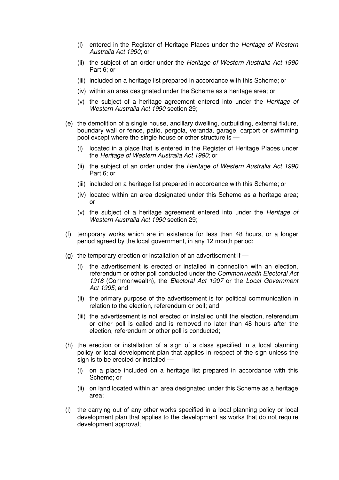- (i) entered in the Register of Heritage Places under the Heritage of Western Australia Act 1990; or
- (ii) the subject of an order under the Heritage of Western Australia Act 1990 Part 6; or
- (iii) included on a heritage list prepared in accordance with this Scheme; or
- (iv) within an area designated under the Scheme as a heritage area; or
- (v) the subject of a heritage agreement entered into under the Heritage of Western Australia Act 1990 section 29;
- (e) the demolition of a single house, ancillary dwelling, outbuilding, external fixture, boundary wall or fence, patio, pergola, veranda, garage, carport or swimming pool except where the single house or other structure is —
	- (i) located in a place that is entered in the Register of Heritage Places under the Heritage of Western Australia Act 1990; or
	- (ii) the subject of an order under the Heritage of Western Australia Act 1990 Part 6; or
	- (iii) included on a heritage list prepared in accordance with this Scheme; or
	- (iv) located within an area designated under this Scheme as a heritage area; or
	- (v) the subject of a heritage agreement entered into under the Heritage of Western Australia Act 1990 section 29;
- (f) temporary works which are in existence for less than 48 hours, or a longer period agreed by the local government, in any 12 month period;
- (g) the temporary erection or installation of an advertisement if  $-$ 
	- (i) the advertisement is erected or installed in connection with an election, referendum or other poll conducted under the Commonwealth Electoral Act 1918 (Commonwealth), the Electoral Act 1907 or the Local Government Act 1995; and
	- (ii) the primary purpose of the advertisement is for political communication in relation to the election, referendum or poll; and
	- (iii) the advertisement is not erected or installed until the election, referendum or other poll is called and is removed no later than 48 hours after the election, referendum or other poll is conducted;
- (h) the erection or installation of a sign of a class specified in a local planning policy or local development plan that applies in respect of the sign unless the sign is to be erected or installed —
	- (i) on a place included on a heritage list prepared in accordance with this Scheme; or
	- (ii) on land located within an area designated under this Scheme as a heritage area;
- (i) the carrying out of any other works specified in a local planning policy or local development plan that applies to the development as works that do not require development approval;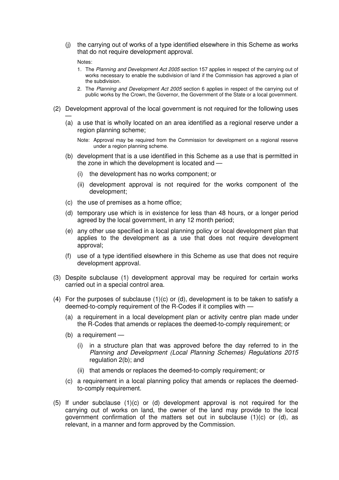(j) the carrying out of works of a type identified elsewhere in this Scheme as works that do not require development approval.

#### Notes:

—

- 1. The Planning and Development Act 2005 section 157 applies in respect of the carrying out of works necessary to enable the subdivision of land if the Commission has approved a plan of the subdivision.
- 2. The Planning and Development Act 2005 section 6 applies in respect of the carrying out of public works by the Crown, the Governor, the Government of the State or a local government.
- (2) Development approval of the local government is not required for the following uses
	- (a) a use that is wholly located on an area identified as a regional reserve under a region planning scheme;

Note: Approval may be required from the Commission for development on a regional reserve under a region planning scheme.

- (b) development that is a use identified in this Scheme as a use that is permitted in the zone in which the development is located and —
	- (i) the development has no works component; or
	- (ii) development approval is not required for the works component of the development;
- (c) the use of premises as a home office;
- (d) temporary use which is in existence for less than 48 hours, or a longer period agreed by the local government, in any 12 month period;
- (e) any other use specified in a local planning policy or local development plan that applies to the development as a use that does not require development approval;
- (f) use of a type identified elsewhere in this Scheme as use that does not require development approval.
- (3) Despite subclause (1) development approval may be required for certain works carried out in a special control area.
- (4) For the purposes of subclause  $(1)(c)$  or  $(d)$ , development is to be taken to satisfy a deemed-to-comply requirement of the R-Codes if it complies with —
	- (a) a requirement in a local development plan or activity centre plan made under the R-Codes that amends or replaces the deemed-to-comply requirement; or
	- (b) a requirement
		- (i) in a structure plan that was approved before the day referred to in the Planning and Development (Local Planning Schemes) Regulations 2015 regulation 2(b); and
		- (ii) that amends or replaces the deemed-to-comply requirement; or
	- (c) a requirement in a local planning policy that amends or replaces the deemedto-comply requirement.
- (5) If under subclause (1)(c) or (d) development approval is not required for the carrying out of works on land, the owner of the land may provide to the local government confirmation of the matters set out in subclause  $(1)(c)$  or  $(d)$ , as relevant, in a manner and form approved by the Commission.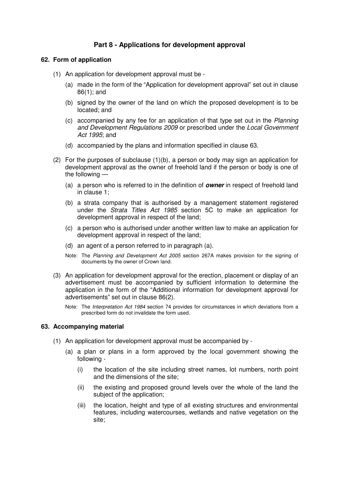## **Part 8 - Applications for development approval**

#### **62. Form of application**

- (1) An application for development approval must be
	- (a) made in the form of the "Application for development approval" set out in clause 86(1); and
	- (b) signed by the owner of the land on which the proposed development is to be located; and
	- (c) accompanied by any fee for an application of that type set out in the Planning and Development Regulations 2009 or prescribed under the Local Government Act 1995; and
	- (d) accompanied by the plans and information specified in clause 63.
- (2) For the purposes of subclause (1)(b), a person or body may sign an application for development approval as the owner of freehold land if the person or body is one of the following —
	- (a) a person who is referred to in the definition of **owner** in respect of freehold land in clause 1;
	- (b) a strata company that is authorised by a management statement registered under the Strata Titles Act 1985 section 5C to make an application for development approval in respect of the land;
	- (c) a person who is authorised under another written law to make an application for development approval in respect of the land;
	- (d) an agent of a person referred to in paragraph (a).
	- Note: The Planning and Development Act 2005 section 267A makes provision for the signing of documents by the owner of Crown land.
- (3) An application for development approval for the erection, placement or display of an advertisement must be accompanied by sufficient information to determine the application in the form of the "Additional information for development approval for advertisements" set out in clause 86(2).
	- Note: The Interpretation Act 1984 section 74 provides for circumstances in which deviations from a prescribed form do not invalidate the form used.

#### **63. Accompanying material**

- (1) An application for development approval must be accompanied by
	- (a) a plan or plans in a form approved by the local government showing the following -
		- (i) the location of the site including street names, lot numbers, north point and the dimensions of the site;
		- (ii) the existing and proposed ground levels over the whole of the land the subject of the application;
		- (iii) the location, height and type of all existing structures and environmental features, including watercourses, wetlands and native vegetation on the site;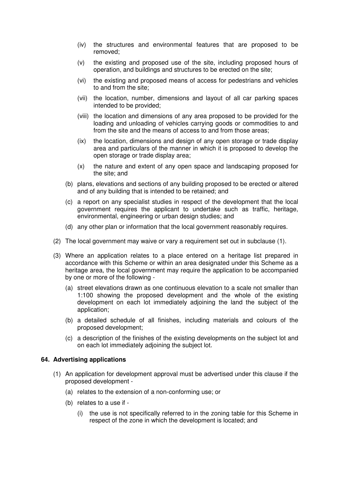- (iv) the structures and environmental features that are proposed to be removed;
- (v) the existing and proposed use of the site, including proposed hours of operation, and buildings and structures to be erected on the site;
- (vi) the existing and proposed means of access for pedestrians and vehicles to and from the site;
- (vii) the location, number, dimensions and layout of all car parking spaces intended to be provided;
- (viii) the location and dimensions of any area proposed to be provided for the loading and unloading of vehicles carrying goods or commodities to and from the site and the means of access to and from those areas;
- (ix) the location, dimensions and design of any open storage or trade display area and particulars of the manner in which it is proposed to develop the open storage or trade display area;
- (x) the nature and extent of any open space and landscaping proposed for the site; and
- (b) plans, elevations and sections of any building proposed to be erected or altered and of any building that is intended to be retained; and
- (c) a report on any specialist studies in respect of the development that the local government requires the applicant to undertake such as traffic, heritage, environmental, engineering or urban design studies; and
- (d) any other plan or information that the local government reasonably requires.
- (2) The local government may waive or vary a requirement set out in subclause (1).
- (3) Where an application relates to a place entered on a heritage list prepared in accordance with this Scheme or within an area designated under this Scheme as a heritage area, the local government may require the application to be accompanied by one or more of the following -
	- (a) street elevations drawn as one continuous elevation to a scale not smaller than 1:100 showing the proposed development and the whole of the existing development on each lot immediately adjoining the land the subject of the application;
	- (b) a detailed schedule of all finishes, including materials and colours of the proposed development;
	- (c) a description of the finishes of the existing developments on the subject lot and on each lot immediately adjoining the subject lot.

#### **64. Advertising applications**

- (1) An application for development approval must be advertised under this clause if the proposed development -
	- (a) relates to the extension of a non-conforming use; or
	- (b) relates to a use if
		- (i) the use is not specifically referred to in the zoning table for this Scheme in respect of the zone in which the development is located; and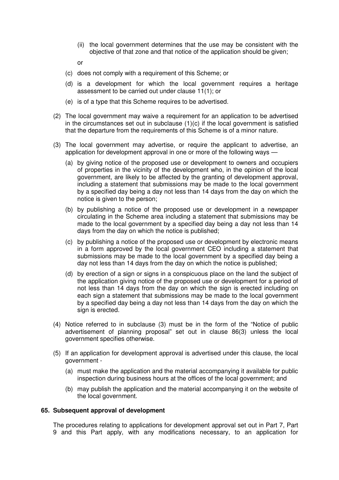(ii) the local government determines that the use may be consistent with the objective of that zone and that notice of the application should be given;

or

- (c) does not comply with a requirement of this Scheme; or
- (d) is a development for which the local government requires a heritage assessment to be carried out under clause 11(1); or
- (e) is of a type that this Scheme requires to be advertised.
- (2) The local government may waive a requirement for an application to be advertised in the circumstances set out in subclause  $(1)(c)$  if the local government is satisfied that the departure from the requirements of this Scheme is of a minor nature.
- (3) The local government may advertise, or require the applicant to advertise, an application for development approval in one or more of the following ways —
	- (a) by giving notice of the proposed use or development to owners and occupiers of properties in the vicinity of the development who, in the opinion of the local government, are likely to be affected by the granting of development approval, including a statement that submissions may be made to the local government by a specified day being a day not less than 14 days from the day on which the notice is given to the person;
	- (b) by publishing a notice of the proposed use or development in a newspaper circulating in the Scheme area including a statement that submissions may be made to the local government by a specified day being a day not less than 14 days from the day on which the notice is published;
	- (c) by publishing a notice of the proposed use or development by electronic means in a form approved by the local government CEO including a statement that submissions may be made to the local government by a specified day being a day not less than 14 days from the day on which the notice is published;
	- (d) by erection of a sign or signs in a conspicuous place on the land the subject of the application giving notice of the proposed use or development for a period of not less than 14 days from the day on which the sign is erected including on each sign a statement that submissions may be made to the local government by a specified day being a day not less than 14 days from the day on which the sign is erected.
- (4) Notice referred to in subclause (3) must be in the form of the "Notice of public advertisement of planning proposal" set out in clause 86(3) unless the local government specifies otherwise.
- (5) If an application for development approval is advertised under this clause, the local government -
	- (a) must make the application and the material accompanying it available for public inspection during business hours at the offices of the local government; and
	- (b) may publish the application and the material accompanying it on the website of the local government.

#### **65. Subsequent approval of development**

The procedures relating to applications for development approval set out in Part 7, Part 9 and this Part apply, with any modifications necessary, to an application for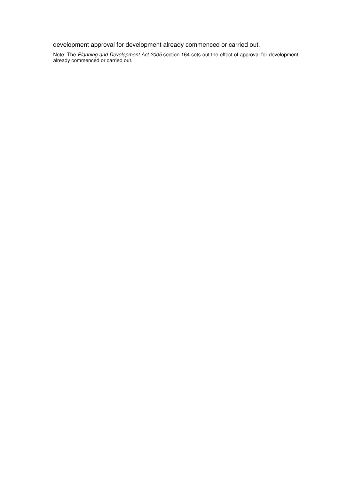development approval for development already commenced or carried out.

Note: The Planning and Development Act 2005 section 164 sets out the effect of approval for development already commenced or carried out.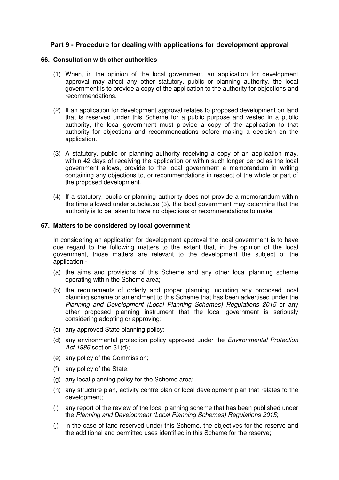### **Part 9 - Procedure for dealing with applications for development approval**

#### **66. Consultation with other authorities**

- (1) When, in the opinion of the local government, an application for development approval may affect any other statutory, public or planning authority, the local government is to provide a copy of the application to the authority for objections and recommendations.
- (2) If an application for development approval relates to proposed development on land that is reserved under this Scheme for a public purpose and vested in a public authority, the local government must provide a copy of the application to that authority for objections and recommendations before making a decision on the application.
- (3) A statutory, public or planning authority receiving a copy of an application may, within 42 days of receiving the application or within such longer period as the local government allows, provide to the local government a memorandum in writing containing any objections to, or recommendations in respect of the whole or part of the proposed development.
- (4) If a statutory, public or planning authority does not provide a memorandum within the time allowed under subclause (3), the local government may determine that the authority is to be taken to have no objections or recommendations to make.

#### **67. Matters to be considered by local government**

In considering an application for development approval the local government is to have due regard to the following matters to the extent that, in the opinion of the local government, those matters are relevant to the development the subject of the application -

- (a) the aims and provisions of this Scheme and any other local planning scheme operating within the Scheme area;
- (b) the requirements of orderly and proper planning including any proposed local planning scheme or amendment to this Scheme that has been advertised under the Planning and Development (Local Planning Schemes) Regulations 2015 or any other proposed planning instrument that the local government is seriously considering adopting or approving;
- (c) any approved State planning policy;
- (d) any environmental protection policy approved under the Environmental Protection Act 1986 section 31(d);
- (e) any policy of the Commission;
- (f) any policy of the State;
- (g) any local planning policy for the Scheme area;
- (h) any structure plan, activity centre plan or local development plan that relates to the development;
- (i) any report of the review of the local planning scheme that has been published under the Planning and Development (Local Planning Schemes) Regulations 2015;
- (j) in the case of land reserved under this Scheme, the objectives for the reserve and the additional and permitted uses identified in this Scheme for the reserve;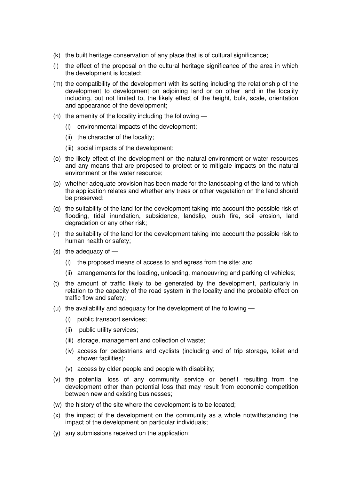- (k) the built heritage conservation of any place that is of cultural significance;
- (l) the effect of the proposal on the cultural heritage significance of the area in which the development is located;
- (m) the compatibility of the development with its setting including the relationship of the development to development on adjoining land or on other land in the locality including, but not limited to, the likely effect of the height, bulk, scale, orientation and appearance of the development;
- (n) the amenity of the locality including the following  $-$ 
	- (i) environmental impacts of the development;
	- (ii) the character of the locality;
	- (iii) social impacts of the development;
- (o) the likely effect of the development on the natural environment or water resources and any means that are proposed to protect or to mitigate impacts on the natural environment or the water resource;
- (p) whether adequate provision has been made for the landscaping of the land to which the application relates and whether any trees or other vegetation on the land should be preserved;
- (q) the suitability of the land for the development taking into account the possible risk of flooding, tidal inundation, subsidence, landslip, bush fire, soil erosion, land degradation or any other risk;
- (r) the suitability of the land for the development taking into account the possible risk to human health or safety;
- (s) the adequacy of
	- (i) the proposed means of access to and egress from the site; and
	- (ii) arrangements for the loading, unloading, manoeuvring and parking of vehicles;
- (t) the amount of traffic likely to be generated by the development, particularly in relation to the capacity of the road system in the locality and the probable effect on traffic flow and safety;
- (u) the availability and adequacy for the development of the following
	- (i) public transport services;
	- (ii) public utility services;
	- (iii) storage, management and collection of waste;
	- (iv) access for pedestrians and cyclists (including end of trip storage, toilet and shower facilities);
	- (v) access by older people and people with disability;
- (v) the potential loss of any community service or benefit resulting from the development other than potential loss that may result from economic competition between new and existing businesses;
- (w) the history of the site where the development is to be located;
- (x) the impact of the development on the community as a whole notwithstanding the impact of the development on particular individuals;
- (y) any submissions received on the application;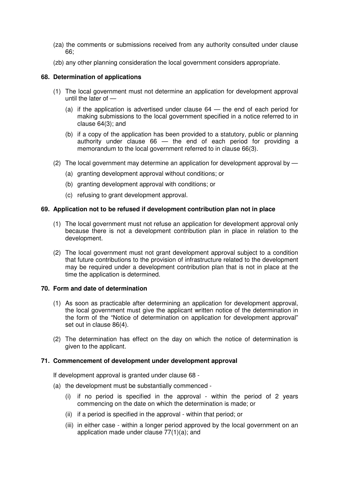- (za) the comments or submissions received from any authority consulted under clause 66;
- (zb) any other planning consideration the local government considers appropriate.

#### **68. Determination of applications**

- (1) The local government must not determine an application for development approval until the later of —
	- (a) if the application is advertised under clause 64 the end of each period for making submissions to the local government specified in a notice referred to in clause 64(3); and
	- (b) if a copy of the application has been provided to a statutory, public or planning authority under clause 66 — the end of each period for providing a memorandum to the local government referred to in clause 66(3).
- (2) The local government may determine an application for development approval by
	- (a) granting development approval without conditions; or
	- (b) granting development approval with conditions; or
	- (c) refusing to grant development approval.

#### **69. Application not to be refused if development contribution plan not in place**

- (1) The local government must not refuse an application for development approval only because there is not a development contribution plan in place in relation to the development.
- (2) The local government must not grant development approval subject to a condition that future contributions to the provision of infrastructure related to the development may be required under a development contribution plan that is not in place at the time the application is determined.

#### **70. Form and date of determination**

- (1) As soon as practicable after determining an application for development approval, the local government must give the applicant written notice of the determination in the form of the "Notice of determination on application for development approval" set out in clause 86(4).
- (2) The determination has effect on the day on which the notice of determination is given to the applicant.

#### **71. Commencement of development under development approval**

If development approval is granted under clause 68 -

- (a) the development must be substantially commenced
	- (i) if no period is specified in the approval within the period of 2 years commencing on the date on which the determination is made; or
	- (ii) if a period is specified in the approval within that period; or
	- (iii) in either case within a longer period approved by the local government on an application made under clause 77(1)(a); and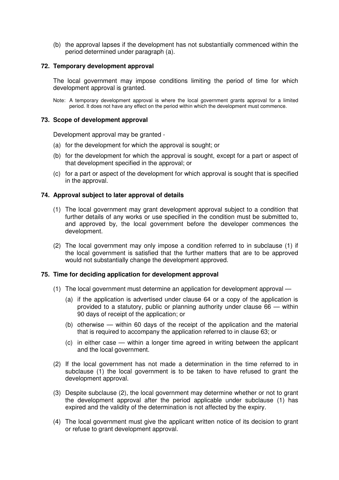(b) the approval lapses if the development has not substantially commenced within the period determined under paragraph (a).

#### **72. Temporary development approval**

The local government may impose conditions limiting the period of time for which development approval is granted.

Note: A temporary development approval is where the local government grants approval for a limited period. It does not have any effect on the period within which the development must commence.

#### **73. Scope of development approval**

Development approval may be granted -

- (a) for the development for which the approval is sought; or
- (b) for the development for which the approval is sought, except for a part or aspect of that development specified in the approval; or
- (c) for a part or aspect of the development for which approval is sought that is specified in the approval.

#### **74. Approval subject to later approval of details**

- (1) The local government may grant development approval subject to a condition that further details of any works or use specified in the condition must be submitted to, and approved by, the local government before the developer commences the development.
- (2) The local government may only impose a condition referred to in subclause (1) if the local government is satisfied that the further matters that are to be approved would not substantially change the development approved.

#### **75. Time for deciding application for development approval**

- (1) The local government must determine an application for development approval
	- (a) if the application is advertised under clause 64 or a copy of the application is provided to a statutory, public or planning authority under clause 66 — within 90 days of receipt of the application; or
	- (b) otherwise within 60 days of the receipt of the application and the material that is required to accompany the application referred to in clause 63; or
	- (c) in either case within a longer time agreed in writing between the applicant and the local government.
- (2) If the local government has not made a determination in the time referred to in subclause (1) the local government is to be taken to have refused to grant the development approval.
- (3) Despite subclause (2), the local government may determine whether or not to grant the development approval after the period applicable under subclause (1) has expired and the validity of the determination is not affected by the expiry.
- (4) The local government must give the applicant written notice of its decision to grant or refuse to grant development approval.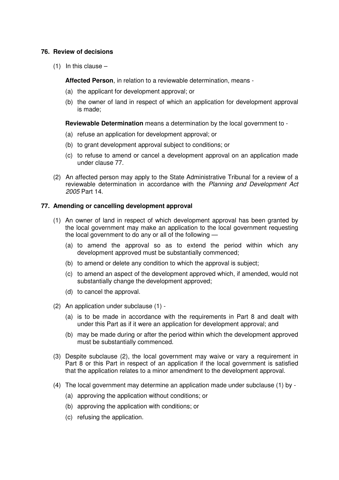#### **76. Review of decisions**

 $(1)$  In this clause –

**Affected Person**, in relation to a reviewable determination, means -

- (a) the applicant for development approval; or
- (b) the owner of land in respect of which an application for development approval is made;

**Reviewable Determination** means a determination by the local government to -

- (a) refuse an application for development approval; or
- (b) to grant development approval subject to conditions; or
- (c) to refuse to amend or cancel a development approval on an application made under clause 77.
- (2) An affected person may apply to the State Administrative Tribunal for a review of a reviewable determination in accordance with the Planning and Development Act 2005 Part 14.

#### **77. Amending or cancelling development approval**

- (1) An owner of land in respect of which development approval has been granted by the local government may make an application to the local government requesting the local government to do any or all of the following —
	- (a) to amend the approval so as to extend the period within which any development approved must be substantially commenced;
	- (b) to amend or delete any condition to which the approval is subject;
	- (c) to amend an aspect of the development approved which, if amended, would not substantially change the development approved;
	- (d) to cancel the approval.
- (2) An application under subclause (1)
	- (a) is to be made in accordance with the requirements in Part 8 and dealt with under this Part as if it were an application for development approval; and
	- (b) may be made during or after the period within which the development approved must be substantially commenced.
- (3) Despite subclause (2), the local government may waive or vary a requirement in Part 8 or this Part in respect of an application if the local government is satisfied that the application relates to a minor amendment to the development approval.
- (4) The local government may determine an application made under subclause (1) by
	- (a) approving the application without conditions; or
	- (b) approving the application with conditions; or
	- (c) refusing the application.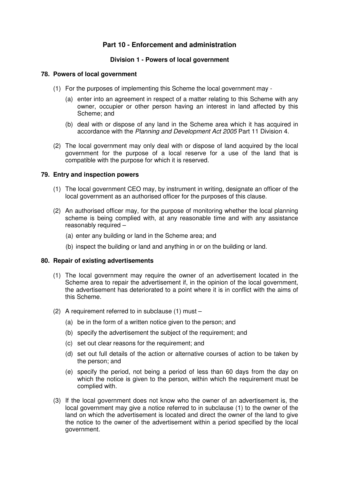## **Part 10 - Enforcement and administration**

#### **Division 1 - Powers of local government**

#### **78. Powers of local government**

- (1) For the purposes of implementing this Scheme the local government may
	- (a) enter into an agreement in respect of a matter relating to this Scheme with any owner, occupier or other person having an interest in land affected by this Scheme; and
	- (b) deal with or dispose of any land in the Scheme area which it has acquired in accordance with the Planning and Development Act 2005 Part 11 Division 4.
- (2) The local government may only deal with or dispose of land acquired by the local government for the purpose of a local reserve for a use of the land that is compatible with the purpose for which it is reserved.

#### **79. Entry and inspection powers**

- (1) The local government CEO may, by instrument in writing, designate an officer of the local government as an authorised officer for the purposes of this clause.
- (2) An authorised officer may, for the purpose of monitoring whether the local planning scheme is being complied with, at any reasonable time and with any assistance reasonably required –
	- (a) enter any building or land in the Scheme area; and
	- (b) inspect the building or land and anything in or on the building or land.

#### **80. Repair of existing advertisements**

- (1) The local government may require the owner of an advertisement located in the Scheme area to repair the advertisement if, in the opinion of the local government, the advertisement has deteriorated to a point where it is in conflict with the aims of this Scheme.
- (2) A requirement referred to in subclause (1) must
	- (a) be in the form of a written notice given to the person; and
	- (b) specify the advertisement the subject of the requirement; and
	- (c) set out clear reasons for the requirement; and
	- (d) set out full details of the action or alternative courses of action to be taken by the person; and
	- (e) specify the period, not being a period of less than 60 days from the day on which the notice is given to the person, within which the requirement must be complied with.
- (3) If the local government does not know who the owner of an advertisement is, the local government may give a notice referred to in subclause (1) to the owner of the land on which the advertisement is located and direct the owner of the land to give the notice to the owner of the advertisement within a period specified by the local government.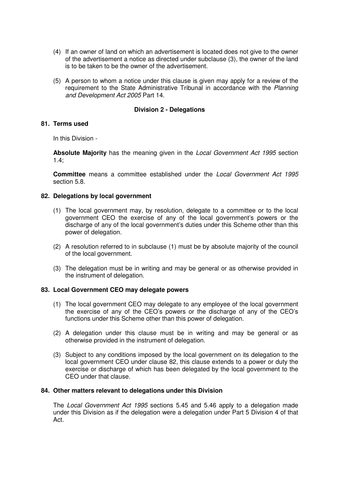- (4) If an owner of land on which an advertisement is located does not give to the owner of the advertisement a notice as directed under subclause (3), the owner of the land is to be taken to be the owner of the advertisement.
- (5) A person to whom a notice under this clause is given may apply for a review of the requirement to the State Administrative Tribunal in accordance with the Planning and Development Act 2005 Part 14.

#### **Division 2 - Delegations**

#### **81. Terms used**

In this Division -

**Absolute Majority** has the meaning given in the Local Government Act 1995 section  $1.4$ ;

**Committee** means a committee established under the Local Government Act 1995 section 5.8.

#### **82. Delegations by local government**

- (1) The local government may, by resolution, delegate to a committee or to the local government CEO the exercise of any of the local government's powers or the discharge of any of the local government's duties under this Scheme other than this power of delegation.
- (2) A resolution referred to in subclause (1) must be by absolute majority of the council of the local government.
- (3) The delegation must be in writing and may be general or as otherwise provided in the instrument of delegation.

#### **83. Local Government CEO may delegate powers**

- (1) The local government CEO may delegate to any employee of the local government the exercise of any of the CEO's powers or the discharge of any of the CEO's functions under this Scheme other than this power of delegation.
- (2) A delegation under this clause must be in writing and may be general or as otherwise provided in the instrument of delegation.
- (3) Subject to any conditions imposed by the local government on its delegation to the local government CEO under clause 82, this clause extends to a power or duty the exercise or discharge of which has been delegated by the local government to the CEO under that clause.

#### **84. Other matters relevant to delegations under this Division**

The Local Government Act 1995 sections 5.45 and 5.46 apply to a delegation made under this Division as if the delegation were a delegation under Part 5 Division 4 of that Act.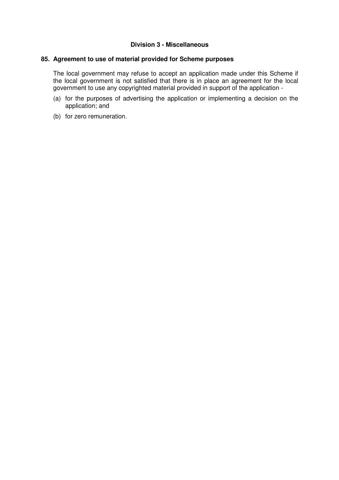#### **Division 3 - Miscellaneous**

#### **85. Agreement to use of material provided for Scheme purposes**

The local government may refuse to accept an application made under this Scheme if the local government is not satisfied that there is in place an agreement for the local government to use any copyrighted material provided in support of the application -

- (a) for the purposes of advertising the application or implementing a decision on the application; and
- (b) for zero remuneration.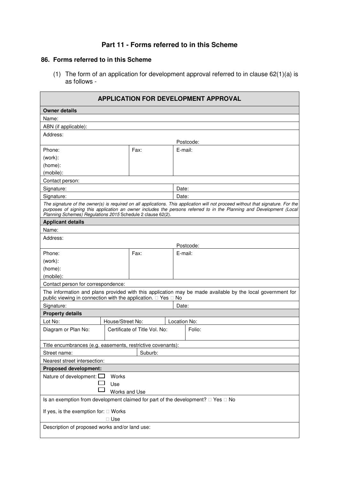## **Part 11 - Forms referred to in this Scheme**

#### **86. Forms referred to in this Scheme**

(1) The form of an application for development approval referred to in clause 62(1)(a) is as follows -

| <b>APPLICATION FOR DEVELOPMENT APPROVAL</b>                                                                                                                                                                                                                                                                              |                               |                                                                                                                                |  |  |  |
|--------------------------------------------------------------------------------------------------------------------------------------------------------------------------------------------------------------------------------------------------------------------------------------------------------------------------|-------------------------------|--------------------------------------------------------------------------------------------------------------------------------|--|--|--|
| <b>Owner details</b>                                                                                                                                                                                                                                                                                                     |                               |                                                                                                                                |  |  |  |
| Name:                                                                                                                                                                                                                                                                                                                    |                               |                                                                                                                                |  |  |  |
| ABN (if applicable):                                                                                                                                                                                                                                                                                                     |                               |                                                                                                                                |  |  |  |
| Address:                                                                                                                                                                                                                                                                                                                 |                               |                                                                                                                                |  |  |  |
|                                                                                                                                                                                                                                                                                                                          |                               | Postcode:                                                                                                                      |  |  |  |
| Phone:                                                                                                                                                                                                                                                                                                                   | Fax:                          | E-mail:                                                                                                                        |  |  |  |
| (work):                                                                                                                                                                                                                                                                                                                  |                               |                                                                                                                                |  |  |  |
| (home):                                                                                                                                                                                                                                                                                                                  |                               |                                                                                                                                |  |  |  |
| (mobile):                                                                                                                                                                                                                                                                                                                |                               |                                                                                                                                |  |  |  |
| Contact person:                                                                                                                                                                                                                                                                                                          |                               |                                                                                                                                |  |  |  |
| Signature:                                                                                                                                                                                                                                                                                                               |                               | Date:                                                                                                                          |  |  |  |
| Signature:                                                                                                                                                                                                                                                                                                               |                               | Date:                                                                                                                          |  |  |  |
| The signature of the owner(s) is required on all applications. This application will not proceed without that signature. For the<br>purposes of signing this application an owner includes the persons referred to in the Planning and Development (Local<br>Planning Schemes) Regulations 2015 Schedule 2 clause 62(2). |                               |                                                                                                                                |  |  |  |
| <b>Applicant details</b>                                                                                                                                                                                                                                                                                                 |                               |                                                                                                                                |  |  |  |
| Name:                                                                                                                                                                                                                                                                                                                    |                               |                                                                                                                                |  |  |  |
| Address:                                                                                                                                                                                                                                                                                                                 |                               |                                                                                                                                |  |  |  |
|                                                                                                                                                                                                                                                                                                                          |                               | Postcode:                                                                                                                      |  |  |  |
| Phone:                                                                                                                                                                                                                                                                                                                   | Fax:                          | E-mail:                                                                                                                        |  |  |  |
| (work):                                                                                                                                                                                                                                                                                                                  |                               |                                                                                                                                |  |  |  |
| (home):                                                                                                                                                                                                                                                                                                                  |                               |                                                                                                                                |  |  |  |
| (mobile):                                                                                                                                                                                                                                                                                                                |                               |                                                                                                                                |  |  |  |
| Contact person for correspondence:                                                                                                                                                                                                                                                                                       |                               |                                                                                                                                |  |  |  |
| public viewing in connection with the application.                                                                                                                                                                                                                                                                       |                               | The information and plans provided with this application may be made available by the local government for<br><b>No</b><br>Yes |  |  |  |
| Signature:                                                                                                                                                                                                                                                                                                               |                               | Date:                                                                                                                          |  |  |  |
| <b>Property details</b>                                                                                                                                                                                                                                                                                                  |                               |                                                                                                                                |  |  |  |
| Lot No:                                                                                                                                                                                                                                                                                                                  | House/Street No:              | Location No:                                                                                                                   |  |  |  |
| Diagram or Plan No:                                                                                                                                                                                                                                                                                                      | Certificate of Title Vol. No: | Folio:                                                                                                                         |  |  |  |
| Title encumbrances (e.g. easements, restrictive covenants):                                                                                                                                                                                                                                                              |                               |                                                                                                                                |  |  |  |
| Street name:                                                                                                                                                                                                                                                                                                             | Suburb:                       |                                                                                                                                |  |  |  |
| Nearest street intersection:                                                                                                                                                                                                                                                                                             |                               |                                                                                                                                |  |  |  |
| <b>Proposed development:</b>                                                                                                                                                                                                                                                                                             |                               |                                                                                                                                |  |  |  |
| Nature of development:                                                                                                                                                                                                                                                                                                   | Works                         |                                                                                                                                |  |  |  |
| Use                                                                                                                                                                                                                                                                                                                      |                               |                                                                                                                                |  |  |  |
|                                                                                                                                                                                                                                                                                                                          | Works and Use                 |                                                                                                                                |  |  |  |
| Is an exemption from development claimed for part of the development?<br><b>No</b><br>Yes                                                                                                                                                                                                                                |                               |                                                                                                                                |  |  |  |
| Works<br>If yes, is the exemption for:                                                                                                                                                                                                                                                                                   |                               |                                                                                                                                |  |  |  |
|                                                                                                                                                                                                                                                                                                                          | Use                           |                                                                                                                                |  |  |  |
| Description of proposed works and/or land use:                                                                                                                                                                                                                                                                           |                               |                                                                                                                                |  |  |  |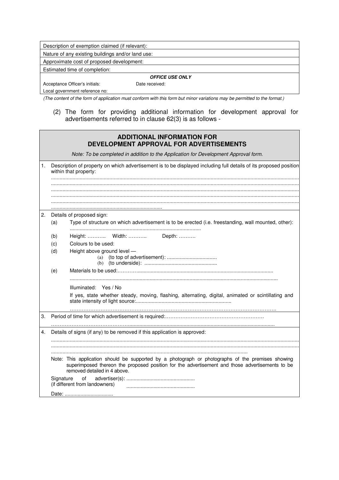| Description of exemption claimed (if relevant):   |                |  |  |  |
|---------------------------------------------------|----------------|--|--|--|
| Nature of any existing buildings and/or land use: |                |  |  |  |
| Approximate cost of proposed development:         |                |  |  |  |
| Estimated time of completion:                     |                |  |  |  |
| <b>OFFICE USE ONLY</b>                            |                |  |  |  |
| Acceptance Officer's initials:                    | Date received: |  |  |  |

Local government reference no:

(The content of the form of application must conform with this form but minor variations may be permitted to the format.)

(2) The form for providing additional information for development approval for advertisements referred to in clause 62(3) is as follows -

|    |                                                                                                                                            | <b>ADDITIONAL INFORMATION FOR</b><br>DEVELOPMENT APPROVAL FOR ADVERTISEMENTS                                                                                                                                                         |  |
|----|--------------------------------------------------------------------------------------------------------------------------------------------|--------------------------------------------------------------------------------------------------------------------------------------------------------------------------------------------------------------------------------------|--|
|    |                                                                                                                                            | Note: To be completed in addition to the Application for Development Approval form.                                                                                                                                                  |  |
| 1. | Description of property on which advertisement is to be displayed including full details of its proposed position<br>within that property: |                                                                                                                                                                                                                                      |  |
|    |                                                                                                                                            |                                                                                                                                                                                                                                      |  |
|    |                                                                                                                                            |                                                                                                                                                                                                                                      |  |
| 2. |                                                                                                                                            | Details of proposed sign:                                                                                                                                                                                                            |  |
|    | (a)                                                                                                                                        | Type of structure on which advertisement is to be erected (i.e. freestanding, wall mounted, other):                                                                                                                                  |  |
|    | (b)<br>(c)                                                                                                                                 | Height:  Width:  Depth:<br>Colours to be used:                                                                                                                                                                                       |  |
|    | (d)                                                                                                                                        | Height above ground level -                                                                                                                                                                                                          |  |
|    | (e)                                                                                                                                        |                                                                                                                                                                                                                                      |  |
|    |                                                                                                                                            | Illuminated: Yes / No                                                                                                                                                                                                                |  |
|    |                                                                                                                                            | If yes, state whether steady, moving, flashing, alternating, digital, animated or scintillating and                                                                                                                                  |  |
| 3. |                                                                                                                                            |                                                                                                                                                                                                                                      |  |
| 4. |                                                                                                                                            | Details of signs (if any) to be removed if this application is approved:                                                                                                                                                             |  |
|    |                                                                                                                                            |                                                                                                                                                                                                                                      |  |
|    |                                                                                                                                            |                                                                                                                                                                                                                                      |  |
|    |                                                                                                                                            | Note: This application should be supported by a photograph or photographs of the premises showing<br>superimposed thereon the proposed position for the advertisement and those advertisements to be<br>removed detailed in 4 above. |  |
|    | Signature                                                                                                                                  | of<br>(if different from landowners)                                                                                                                                                                                                 |  |
|    |                                                                                                                                            | Date:                                                                                                                                                                                                                                |  |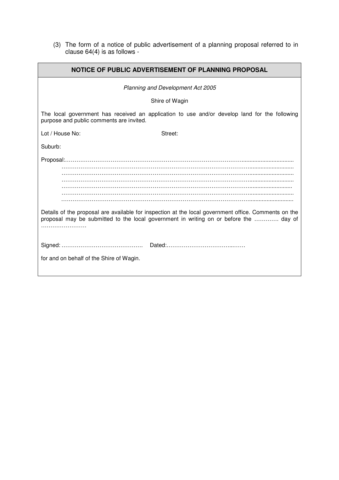(3) The form of a notice of public advertisement of a planning proposal referred to in clause 64(4) is as follows -

| NOTICE OF PUBLIC ADVERTISEMENT OF PLANNING PROPOSAL                                                                                                                                           |  |  |  |  |
|-----------------------------------------------------------------------------------------------------------------------------------------------------------------------------------------------|--|--|--|--|
| Planning and Development Act 2005                                                                                                                                                             |  |  |  |  |
| Shire of Wagin                                                                                                                                                                                |  |  |  |  |
| The local government has received an application to use and/or develop land for the following<br>purpose and public comments are invited.                                                     |  |  |  |  |
| Lot / House No:<br>Street:                                                                                                                                                                    |  |  |  |  |
| Suburb:                                                                                                                                                                                       |  |  |  |  |
| Details of the proposal are available for inspection at the local government office. Comments on the<br>proposal may be submitted to the local government in writing on or before the  day of |  |  |  |  |
| for and on behalf of the Shire of Wagin.                                                                                                                                                      |  |  |  |  |